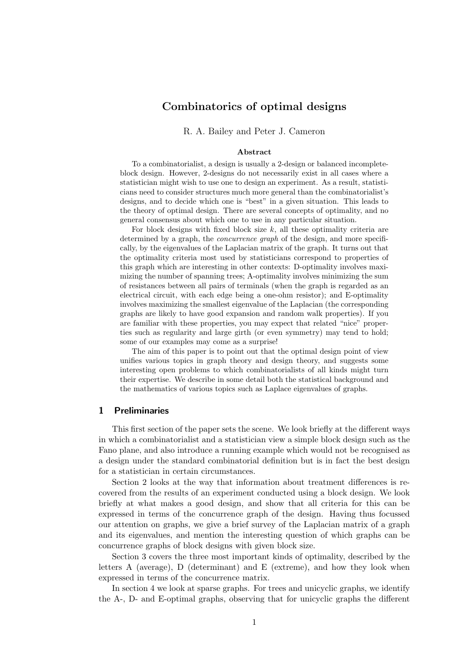R. A. Bailey and Peter J. Cameron

#### Abstract

To a combinatorialist, a design is usually a 2-design or balanced incompleteblock design. However, 2-designs do not necessarily exist in all cases where a statistician might wish to use one to design an experiment. As a result, statisticians need to consider structures much more general than the combinatorialist's designs, and to decide which one is "best" in a given situation. This leads to the theory of optimal design. There are several concepts of optimality, and no general consensus about which one to use in any particular situation.

For block designs with fixed block size  $k$ , all these optimality criteria are determined by a graph, the concurrence graph of the design, and more specifically, by the eigenvalues of the Laplacian matrix of the graph. It turns out that the optimality criteria most used by statisticians correspond to properties of this graph which are interesting in other contexts: D-optimality involves maximizing the number of spanning trees; A-optimality involves minimizing the sum of resistances between all pairs of terminals (when the graph is regarded as an electrical circuit, with each edge being a one-ohm resistor); and E-optimality involves maximizing the smallest eigenvalue of the Laplacian (the corresponding graphs are likely to have good expansion and random walk properties). If you are familiar with these properties, you may expect that related "nice" properties such as regularity and large girth (or even symmetry) may tend to hold; some of our examples may come as a surprise!

The aim of this paper is to point out that the optimal design point of view unifies various topics in graph theory and design theory, and suggests some interesting open problems to which combinatorialists of all kinds might turn their expertise. We describe in some detail both the statistical background and the mathematics of various topics such as Laplace eigenvalues of graphs.

# 1 Preliminaries

This first section of the paper sets the scene. We look briefly at the different ways in which a combinatorialist and a statistician view a simple block design such as the Fano plane, and also introduce a running example which would not be recognised as a design under the standard combinatorial definition but is in fact the best design for a statistician in certain circumstances.

Section 2 looks at the way that information about treatment differences is recovered from the results of an experiment conducted using a block design. We look briefly at what makes a good design, and show that all criteria for this can be expressed in terms of the concurrence graph of the design. Having thus focussed our attention on graphs, we give a brief survey of the Laplacian matrix of a graph and its eigenvalues, and mention the interesting question of which graphs can be concurrence graphs of block designs with given block size.

Section 3 covers the three most important kinds of optimality, described by the letters A (average), D (determinant) and E (extreme), and how they look when expressed in terms of the concurrence matrix.

In section 4 we look at sparse graphs. For trees and unicyclic graphs, we identify the A-, D- and E-optimal graphs, observing that for unicyclic graphs the different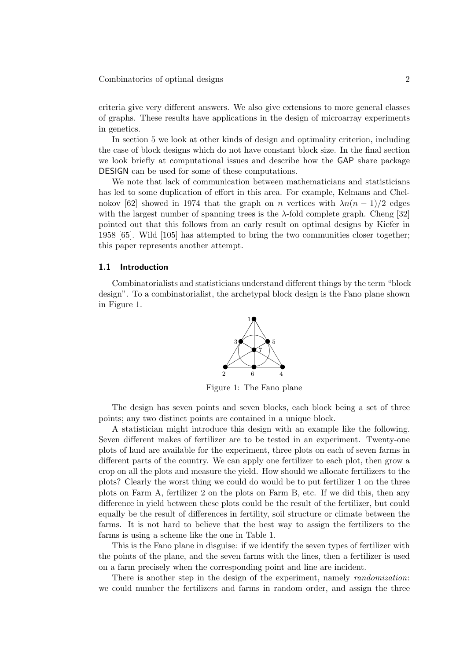criteria give very different answers. We also give extensions to more general classes of graphs. These results have applications in the design of microarray experiments in genetics.

In section 5 we look at other kinds of design and optimality criterion, including the case of block designs which do not have constant block size. In the final section we look briefly at computational issues and describe how the GAP share package DESIGN can be used for some of these computations.

We note that lack of communication between mathematicians and statisticians has led to some duplication of effort in this area. For example, Kelmans and Chelnokov [62] showed in 1974 that the graph on n vertices with  $\lambda n(n-1)/2$  edges with the largest number of spanning trees is the  $\lambda$ -fold complete graph. Cheng [32] pointed out that this follows from an early result on optimal designs by Kiefer in 1958 [65]. Wild [105] has attempted to bring the two communities closer together; this paper represents another attempt.

#### 1.1 Introduction

Combinatorialists and statisticians understand different things by the term "block design". To a combinatorialist, the archetypal block design is the Fano plane shown in Figure 1.



Figure 1: The Fano plane

The design has seven points and seven blocks, each block being a set of three points; any two distinct points are contained in a unique block.

A statistician might introduce this design with an example like the following. Seven different makes of fertilizer are to be tested in an experiment. Twenty-one plots of land are available for the experiment, three plots on each of seven farms in different parts of the country. We can apply one fertilizer to each plot, then grow a crop on all the plots and measure the yield. How should we allocate fertilizers to the plots? Clearly the worst thing we could do would be to put fertilizer 1 on the three plots on Farm A, fertilizer 2 on the plots on Farm B, etc. If we did this, then any difference in yield between these plots could be the result of the fertilizer, but could equally be the result of differences in fertility, soil structure or climate between the farms. It is not hard to believe that the best way to assign the fertilizers to the farms is using a scheme like the one in Table 1.

This is the Fano plane in disguise: if we identify the seven types of fertilizer with the points of the plane, and the seven farms with the lines, then a fertilizer is used on a farm precisely when the corresponding point and line are incident.

There is another step in the design of the experiment, namely *randomization*: we could number the fertilizers and farms in random order, and assign the three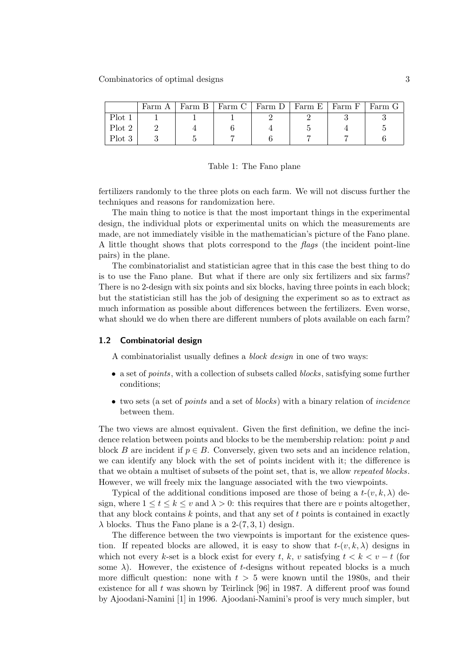|        | Farm A | Farm B | Farm $C$   Farm $D$ | Farm E   Farm F | Farm G |
|--------|--------|--------|---------------------|-----------------|--------|
| Plot 1 |        |        |                     |                 |        |
| Plot 2 |        |        |                     |                 |        |
| Plot 3 |        |        |                     |                 |        |

| Table 1: The Fano plane |  |  |  |  |
|-------------------------|--|--|--|--|
|-------------------------|--|--|--|--|

fertilizers randomly to the three plots on each farm. We will not discuss further the techniques and reasons for randomization here.

The main thing to notice is that the most important things in the experimental design, the individual plots or experimental units on which the measurements are made, are not immediately visible in the mathematician's picture of the Fano plane. A little thought shows that plots correspond to the flags (the incident point-line pairs) in the plane.

The combinatorialist and statistician agree that in this case the best thing to do is to use the Fano plane. But what if there are only six fertilizers and six farms? There is no 2-design with six points and six blocks, having three points in each block; but the statistician still has the job of designing the experiment so as to extract as much information as possible about differences between the fertilizers. Even worse, what should we do when there are different numbers of plots available on each farm?

#### 1.2 Combinatorial design

A combinatorialist usually defines a block design in one of two ways:

- a set of *points*, with a collection of subsets called *blocks*, satisfying some further conditions;
- two sets (a set of *points* and a set of *blocks*) with a binary relation of *incidence* between them.

The two views are almost equivalent. Given the first definition, we define the incidence relation between points and blocks to be the membership relation: point p and block B are incident if  $p \in B$ . Conversely, given two sets and an incidence relation, we can identify any block with the set of points incident with it; the difference is that we obtain a multiset of subsets of the point set, that is, we allow repeated blocks. However, we will freely mix the language associated with the two viewpoints.

Typical of the additional conditions imposed are those of being a  $t-(v, k, \lambda)$  design, where  $1 \le t \le k \le v$  and  $\lambda > 0$ : this requires that there are v points altogether. that any block contains  $k$  points, and that any set of  $t$  points is contained in exactly  $\lambda$  blocks. Thus the Fano plane is a 2-(7, 3, 1) design.

The difference between the two viewpoints is important for the existence question. If repeated blocks are allowed, it is easy to show that  $t-(v, k, \lambda)$  designs in which not every k-set is a block exist for every t, k, v satisfying  $t < k < v - t$  (for some  $\lambda$ ). However, the existence of t-designs without repeated blocks is a much more difficult question: none with  $t > 5$  were known until the 1980s, and their existence for all  $t$  was shown by Teirlinck [96] in 1987. A different proof was found by Ajoodani-Namini [1] in 1996. Ajoodani-Namini's proof is very much simpler, but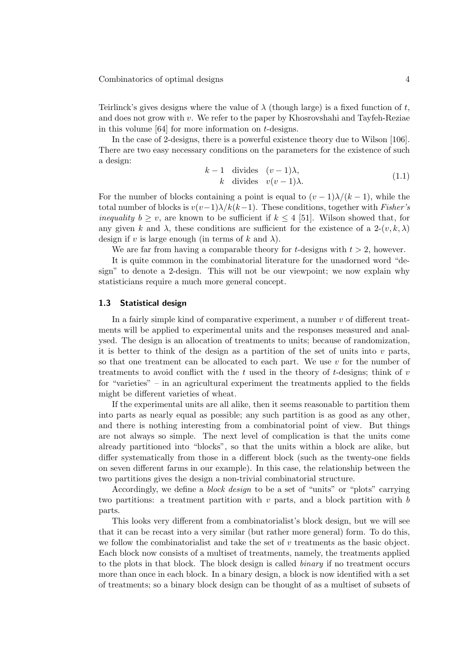Teirlinck's gives designs where the value of  $\lambda$  (though large) is a fixed function of t, and does not grow with v. We refer to the paper by Khosrovshahi and Tayfeh-Reziae in this volume [64] for more information on t-designs.

In the case of 2-designs, there is a powerful existence theory due to Wilson [106]. There are two easy necessary conditions on the parameters for the existence of such a design:

$$
k-1 \quad \text{divides} \quad (v-1)\lambda,
$$
  
\n
$$
k \quad \text{divides} \quad v(v-1)\lambda.
$$
 (1.1)

For the number of blocks containing a point is equal to  $(v-1)\lambda/(k-1)$ , while the total number of blocks is  $v(v-1)\lambda/k(k-1)$ . These conditions, together with Fisher's inequality  $b \geq v$ , are known to be sufficient if  $k \leq 4$  [51]. Wilson showed that, for any given k and  $\lambda$ , these conditions are sufficient for the existence of a 2- $(v, k, \lambda)$ design if v is large enough (in terms of k and  $\lambda$ ).

We are far from having a comparable theory for t-designs with  $t > 2$ , however.

It is quite common in the combinatorial literature for the unadorned word "design" to denote a 2-design. This will not be our viewpoint; we now explain why statisticians require a much more general concept.

### 1.3 Statistical design

In a fairly simple kind of comparative experiment, a number  $v$  of different treatments will be applied to experimental units and the responses measured and analysed. The design is an allocation of treatments to units; because of randomization, it is better to think of the design as a partition of the set of units into  $v$  parts, so that one treatment can be allocated to each part. We use  $v$  for the number of treatments to avoid conflict with the t used in the theory of t-designs; think of  $v$ for "varieties" – in an agricultural experiment the treatments applied to the fields might be different varieties of wheat.

If the experimental units are all alike, then it seems reasonable to partition them into parts as nearly equal as possible; any such partition is as good as any other, and there is nothing interesting from a combinatorial point of view. But things are not always so simple. The next level of complication is that the units come already partitioned into "blocks", so that the units within a block are alike, but differ systematically from those in a different block (such as the twenty-one fields on seven different farms in our example). In this case, the relationship between the two partitions gives the design a non-trivial combinatorial structure.

Accordingly, we define a block design to be a set of "units" or "plots" carrying two partitions: a treatment partition with  $v$  parts, and a block partition with  $b$ parts.

This looks very different from a combinatorialist's block design, but we will see that it can be recast into a very similar (but rather more general) form. To do this, we follow the combinatorialist and take the set of  $v$  treatments as the basic object. Each block now consists of a multiset of treatments, namely, the treatments applied to the plots in that block. The block design is called binary if no treatment occurs more than once in each block. In a binary design, a block is now identified with a set of treatments; so a binary block design can be thought of as a multiset of subsets of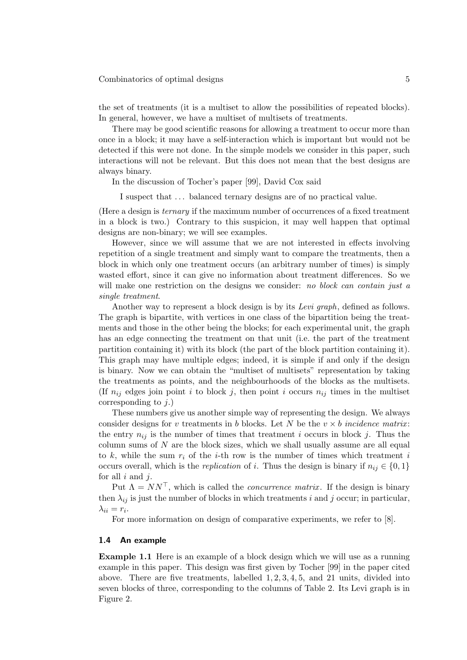the set of treatments (it is a multiset to allow the possibilities of repeated blocks). In general, however, we have a multiset of multisets of treatments.

There may be good scientific reasons for allowing a treatment to occur more than once in a block; it may have a self-interaction which is important but would not be detected if this were not done. In the simple models we consider in this paper, such interactions will not be relevant. But this does not mean that the best designs are always binary.

In the discussion of Tocher's paper [99], David Cox said

I suspect that  $\dots$  balanced ternary designs are of no practical value.

(Here a design is ternary if the maximum number of occurrences of a fixed treatment in a block is two.) Contrary to this suspicion, it may well happen that optimal designs are non-binary; we will see examples.

However, since we will assume that we are not interested in effects involving repetition of a single treatment and simply want to compare the treatments, then a block in which only one treatment occurs (an arbitrary number of times) is simply wasted effort, since it can give no information about treatment differences. So we will make one restriction on the designs we consider: no block can contain just a single treatment.

Another way to represent a block design is by its Levi graph, defined as follows. The graph is bipartite, with vertices in one class of the bipartition being the treatments and those in the other being the blocks; for each experimental unit, the graph has an edge connecting the treatment on that unit (i.e. the part of the treatment partition containing it) with its block (the part of the block partition containing it). This graph may have multiple edges; indeed, it is simple if and only if the design is binary. Now we can obtain the "multiset of multisets" representation by taking the treatments as points, and the neighbourhoods of the blocks as the multisets. (If  $n_{ij}$  edges join point i to block j, then point i occurs  $n_{ij}$  times in the multiset corresponding to  $i$ .)

These numbers give us another simple way of representing the design. We always consider designs for v treatments in b blocks. Let N be the  $v \times b$  incidence matrix: the entry  $n_{ij}$  is the number of times that treatment i occurs in block j. Thus the column sums of  $N$  are the block sizes, which we shall usually assume are all equal to k, while the sum  $r_i$  of the *i*-th row is the number of times which treatment i occurs overall, which is the *replication* of i. Thus the design is binary if  $n_{ij} \in \{0, 1\}$ for all  $i$  and  $j$ .

Put  $\Lambda = NN^{\top}$ , which is called the *concurrence matrix*. If the design is binary then  $\lambda_{ij}$  is just the number of blocks in which treatments i and j occur; in particular,  $\lambda_{ii}=r_i.$ 

For more information on design of comparative experiments, we refer to [8].

#### 1.4 An example

Example 1.1 Here is an example of a block design which we will use as a running example in this paper. This design was first given by Tocher [99] in the paper cited above. There are five treatments, labelled  $1, 2, 3, 4, 5$ , and  $21$  units, divided into seven blocks of three, corresponding to the columns of Table 2. Its Levi graph is in Figure 2.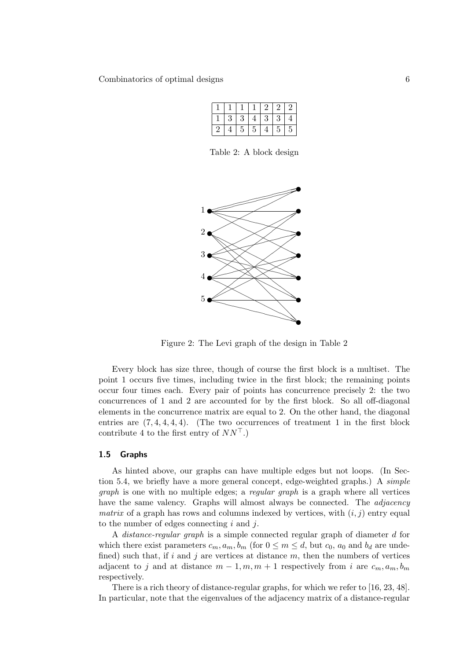|                |   |                 |                | $\overline{2}$ | 2       | $\overline{2}$ |
|----------------|---|-----------------|----------------|----------------|---------|----------------|
|                | 3 | 3               | $\overline{4}$ | 3              | 3       | 4              |
| $\overline{2}$ | 4 | $5\overline{)}$ | $\overline{5}$ |                | $\bf 5$ | $\overline{5}$ |

Table 2: A block design



Figure 2: The Levi graph of the design in Table 2

Every block has size three, though of course the first block is a multiset. The point 1 occurs five times, including twice in the first block; the remaining points occur four times each. Every pair of points has concurrence precisely 2: the two concurrences of 1 and 2 are accounted for by the first block. So all off-diagonal elements in the concurrence matrix are equal to 2. On the other hand, the diagonal entries are  $(7, 4, 4, 4, 4)$ . (The two occurrences of treatment 1 in the first block contribute 4 to the first entry of  $NN^{\top}$ .)

#### 1.5 Graphs

As hinted above, our graphs can have multiple edges but not loops. (In Section 5.4, we briefly have a more general concept, edge-weighted graphs.) A *simple* graph is one with no multiple edges; a regular graph is a graph where all vertices have the same valency. Graphs will almost always be connected. The *adjacency* matrix of a graph has rows and columns indexed by vertices, with  $(i, j)$  entry equal to the number of edges connecting  $i$  and  $j$ .

A distance-regular graph is a simple connected regular graph of diameter d for which there exist parameters  $c_m, a_m, b_m$  (for  $0 \leq m \leq d$ , but  $c_0, a_0$  and  $b_d$  are undefined) such that, if i and j are vertices at distance  $m$ , then the numbers of vertices adjacent to j and at distance  $m-1, m, m+1$  respectively from i are  $c_m, a_m, b_m$ respectively.

There is a rich theory of distance-regular graphs, for which we refer to [16, 23, 48]. In particular, note that the eigenvalues of the adjacency matrix of a distance-regular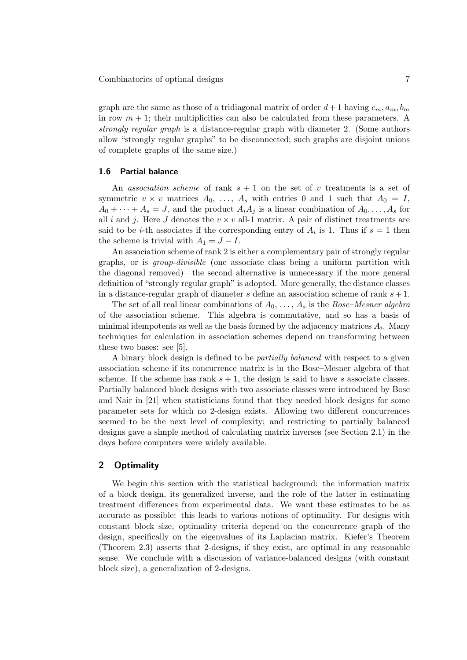graph are the same as those of a tridiagonal matrix of order  $d+1$  having  $c_m, a_m, b_m$ in row  $m + 1$ ; their multiplicities can also be calculated from these parameters. A strongly regular graph is a distance-regular graph with diameter 2. (Some authors allow "strongly regular graphs" to be disconnected; such graphs are disjoint unions of complete graphs of the same size.)

### 1.6 Partial balance

An association scheme of rank  $s + 1$  on the set of v treatments is a set of symmetric  $v \times v$  matrices  $A_0, \ldots, A_s$  with entries 0 and 1 such that  $A_0 = I$ ,  $A_0 + \cdots + A_s = J$ , and the product  $A_i A_j$  is a linear combination of  $A_0, \ldots, A_s$  for all i and j. Here J denotes the  $v \times v$  all-1 matrix. A pair of distinct treatments are said to be *i*-th associates if the corresponding entry of  $A_i$  is 1. Thus if  $s = 1$  then the scheme is trivial with  $A_1 = J - I$ .

An association scheme of rank 2 is either a complementary pair of strongly regular graphs, or is group-divisible (one associate class being a uniform partition with the diagonal removed)—the second alternative is unnecessary if the more general definition of "strongly regular graph" is adopted. More generally, the distance classes in a distance-regular graph of diameter s define an association scheme of rank  $s + 1$ .

The set of all real linear combinations of  $A_0, \ldots, A_s$  is the *Bose–Mesner algebra* of the association scheme. This algebra is commutative, and so has a basis of minimal idempotents as well as the basis formed by the adjacency matrices  $A_i$ . Many techniques for calculation in association schemes depend on transforming between these two bases: see [5].

A binary block design is defined to be partially balanced with respect to a given association scheme if its concurrence matrix is in the Bose–Mesner algebra of that scheme. If the scheme has rank  $s + 1$ , the design is said to have s associate classes. Partially balanced block designs with two associate classes were introduced by Bose and Nair in [21] when statisticians found that they needed block designs for some parameter sets for which no 2-design exists. Allowing two different concurrences seemed to be the next level of complexity; and restricting to partially balanced designs gave a simple method of calculating matrix inverses (see Section 2.1) in the days before computers were widely available.

### 2 Optimality

We begin this section with the statistical background: the information matrix of a block design, its generalized inverse, and the role of the latter in estimating treatment differences from experimental data. We want these estimates to be as accurate as possible: this leads to various notions of optimality. For designs with constant block size, optimality criteria depend on the concurrence graph of the design, specifically on the eigenvalues of its Laplacian matrix. Kiefer's Theorem (Theorem 2.3) asserts that 2-designs, if they exist, are optimal in any reasonable sense. We conclude with a discussion of variance-balanced designs (with constant block size), a generalization of 2-designs.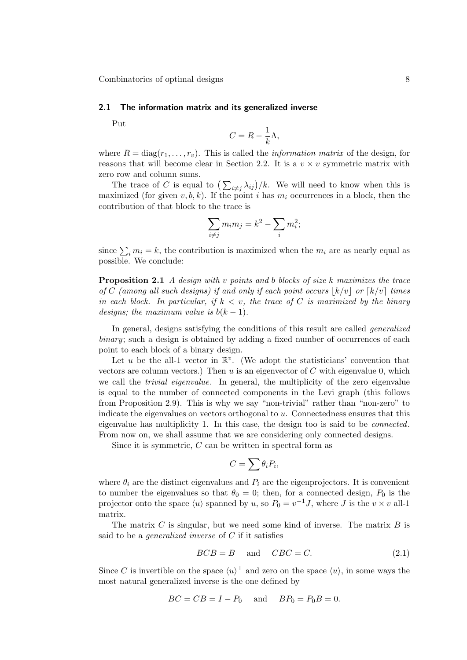### 2.1 The information matrix and its generalized inverse

Put

$$
C = R - \frac{1}{k}\Lambda,
$$

where  $R = \text{diag}(r_1, \ldots, r_v)$ . This is called the *information matrix* of the design, for reasons that will become clear in Section 2.2. It is a  $v \times v$  symmetric matrix with zero row and column sums.

The trace of C is equal to  $\left(\sum_{i\neq j}\lambda_{ij}\right)/k$ . We will need to know when this is maximized (for given  $v, b, k$ ). If the point i has  $m_i$  occurrences in a block, then the contribution of that block to the trace is

$$
\sum_{i\neq j}m_im_j=k^2-\sum_im_i^2;
$$

since  $\sum_i m_i = k$ , the contribution is maximized when the  $m_i$  are as nearly equal as possible. We conclude:

Proposition 2.1 A design with v points and b blocks of size k maximizes the trace of C (among all such designs) if and only if each point occurs  $\lfloor k/v \rfloor$  or  $\lceil k/v \rceil$  times in each block. In particular, if  $k < v$ , the trace of C is maximized by the binary designs; the maximum value is  $b(k-1)$ .

In general, designs satisfying the conditions of this result are called generalized binary; such a design is obtained by adding a fixed number of occurrences of each point to each block of a binary design.

Let u be the all-1 vector in  $\mathbb{R}^v$ . (We adopt the statisticians' convention that vectors are column vectors.) Then  $u$  is an eigenvector of  $C$  with eigenvalue 0, which we call the *trivial eigenvalue*. In general, the multiplicity of the zero eigenvalue is equal to the number of connected components in the Levi graph (this follows from Proposition 2.9). This is why we say "non-trivial" rather than "non-zero" to indicate the eigenvalues on vectors orthogonal to u. Connectedness ensures that this eigenvalue has multiplicity 1. In this case, the design too is said to be connected. From now on, we shall assume that we are considering only connected designs.

Since it is symmetric,  $C$  can be written in spectral form as

$$
C=\sum \theta_i P_i,
$$

where  $\theta_i$  are the distinct eigenvalues and  $P_i$  are the eigenprojectors. It is convenient to number the eigenvalues so that  $\theta_0 = 0$ ; then, for a connected design,  $P_0$  is the projector onto the space  $\langle u \rangle$  spanned by u, so  $P_0 = v^{-1}J$ , where J is the  $v \times v$  all-1 matrix.

The matrix  $C$  is singular, but we need some kind of inverse. The matrix  $B$  is said to be a *generalized inverse* of  $C$  if it satisfies

$$
BCB = B \quad \text{and} \quad CBC = C. \tag{2.1}
$$

Since C is invertible on the space  $\langle u \rangle^{\perp}$  and zero on the space  $\langle u \rangle$ , in some ways the most natural generalized inverse is the one defined by

$$
BC = CB = I - P_0 \quad \text{and} \quad BP_0 = P_0B = 0.
$$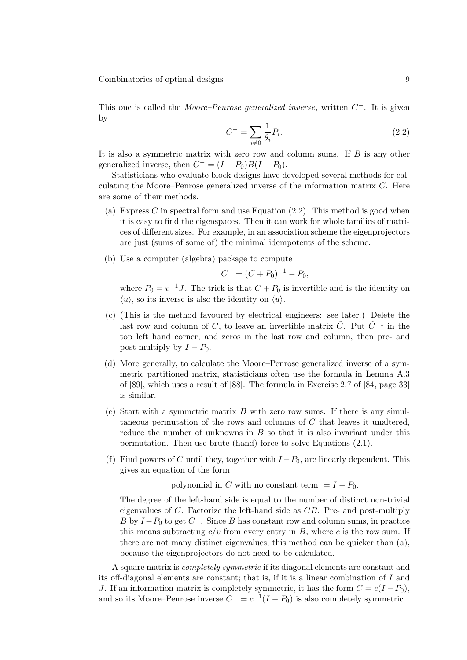This one is called the Moore–Penrose generalized inverse, written  $C^-$ . It is given by

$$
C^- = \sum_{i \neq 0} \frac{1}{\theta_i} P_i. \tag{2.2}
$$

It is also a symmetric matrix with zero row and column sums. If B is any other generalized inverse, then  $C^- = (I - P_0)B(I - P_0)$ .

Statisticians who evaluate block designs have developed several methods for calculating the Moore–Penrose generalized inverse of the information matrix C. Here are some of their methods.

- (a) Express C in spectral form and use Equation  $(2.2)$ . This method is good when it is easy to find the eigenspaces. Then it can work for whole families of matrices of different sizes. For example, in an association scheme the eigenprojectors are just (sums of some of) the minimal idempotents of the scheme.
- (b) Use a computer (algebra) package to compute

$$
C^{-} = (C + P_0)^{-1} - P_0,
$$

where  $P_0 = v^{-1}J$ . The trick is that  $C + P_0$  is invertible and is the identity on  $\langle u \rangle$ , so its inverse is also the identity on  $\langle u \rangle$ .

- (c) (This is the method favoured by electrical engineers: see later.) Delete the last row and column of C, to leave an invertible matrix  $\tilde{C}$ . Put  $\tilde{C}^{-1}$  in the top left hand corner, and zeros in the last row and column, then pre- and post-multiply by  $I - P_0$ .
- (d) More generally, to calculate the Moore–Penrose generalized inverse of a symmetric partitioned matrix, statisticians often use the formula in Lemma A.3 of [89], which uses a result of [88]. The formula in Exercise 2.7 of [84, page 33] is similar.
- (e) Start with a symmetric matrix  $B$  with zero row sums. If there is any simultaneous permutation of the rows and columns of C that leaves it unaltered, reduce the number of unknowns in  $B$  so that it is also invariant under this permutation. Then use brute (hand) force to solve Equations (2.1).
- (f) Find powers of C until they, together with  $I-P_0$ , are linearly dependent. This gives an equation of the form

polynomial in C with no constant term =  $I - P_0$ .

The degree of the left-hand side is equal to the number of distinct non-trivial eigenvalues of  $C$ . Factorize the left-hand side as  $CB$ . Pre- and post-multiply B by  $I-P_0$  to get  $C^-$ . Since B has constant row and column sums, in practice this means subtracting  $c/v$  from every entry in B, where c is the row sum. If there are not many distinct eigenvalues, this method can be quicker than (a), because the eigenprojectors do not need to be calculated.

A square matrix is completely symmetric if its diagonal elements are constant and its off-diagonal elements are constant; that is, if it is a linear combination of I and J. If an information matrix is completely symmetric, it has the form  $C = c(I - P_0)$ , and so its Moore–Penrose inverse  $C^- = c^{-1}(I - P_0)$  is also completely symmetric.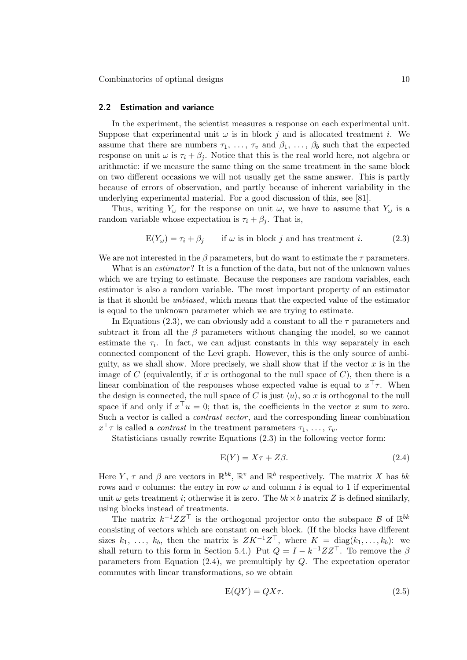## 2.2 Estimation and variance

In the experiment, the scientist measures a response on each experimental unit. Suppose that experimental unit  $\omega$  is in block j and is allocated treatment i. We assume that there are numbers  $\tau_1, \ldots, \tau_v$  and  $\beta_1, \ldots, \beta_b$  such that the expected response on unit  $\omega$  is  $\tau_i + \beta_j$ . Notice that this is the real world here, not algebra or arithmetic: if we measure the same thing on the same treatment in the same block on two different occasions we will not usually get the same answer. This is partly because of errors of observation, and partly because of inherent variability in the underlying experimental material. For a good discussion of this, see [81].

Thus, writing  $Y_\omega$  for the response on unit  $\omega$ , we have to assume that  $Y_\omega$  is a random variable whose expectation is  $\tau_i + \beta_j$ . That is,

$$
E(Y_{\omega}) = \tau_i + \beta_j \quad \text{if } \omega \text{ is in block } j \text{ and has treatment } i. \tag{2.3}
$$

We are not interested in the  $\beta$  parameters, but do want to estimate the  $\tau$  parameters.

What is an *estimator*? It is a function of the data, but not of the unknown values which we are trying to estimate. Because the responses are random variables, each estimator is also a random variable. The most important property of an estimator is that it should be unbiased, which means that the expected value of the estimator is equal to the unknown parameter which we are trying to estimate.

In Equations (2.3), we can obviously add a constant to all the  $\tau$  parameters and subtract it from all the  $\beta$  parameters without changing the model, so we cannot estimate the  $\tau_i$ . In fact, we can adjust constants in this way separately in each connected component of the Levi graph. However, this is the only source of ambiguity, as we shall show. More precisely, we shall show that if the vector  $x$  is in the image of C (equivalently, if x is orthogonal to the null space of  $C$ ), then there is a linear combination of the responses whose expected value is equal to  $x^{\top} \tau$ . When the design is connected, the null space of C is just  $\langle u \rangle$ , so x is orthogonal to the null space if and only if  $x^\top u = 0$ ; that is, the coefficients in the vector x sum to zero. Such a vector is called a contrast vector , and the corresponding linear combination  $x^{\top} \tau$  is called a *contrast* in the treatment parameters  $\tau_1, \ldots, \tau_v$ .

Statisticians usually rewrite Equations (2.3) in the following vector form:

$$
E(Y) = X\tau + Z\beta.
$$
\n(2.4)

Here Y,  $\tau$  and  $\beta$  are vectors in  $\mathbb{R}^{bk}$ ,  $\mathbb{R}^v$  and  $\mathbb{R}^b$  respectively. The matrix X has bk rows and v columns: the entry in row  $\omega$  and column i is equal to 1 if experimental unit  $\omega$  gets treatment i; otherwise it is zero. The  $bk \times b$  matrix Z is defined similarly, using blocks instead of treatments.

The matrix  $k^{-1}ZZ^{\top}$  is the orthogonal projector onto the subspace  $\mathcal{B}$  of  $\mathbb{R}^{bk}$ consisting of vectors which are constant on each block. (If the blocks have different sizes  $k_1, \ldots, k_b$ , then the matrix is  $ZK^{-1}Z^{\top}$ , where  $K = \text{diag}(k_1, \ldots, k_b)$ : we shall return to this form in Section 5.4.) Put  $Q = I - k^{-1}ZZ^{\top}$ . To remove the  $\beta$ parameters from Equation (2.4), we premultiply by Q. The expectation operator commutes with linear transformations, so we obtain

$$
E(QY) = QX\tau.
$$
\n<sup>(2.5)</sup>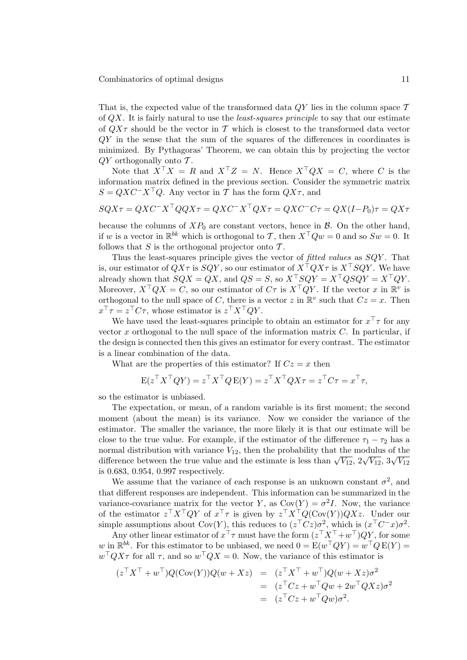That is, the expected value of the transformed data  $QY$  lies in the column space  $T$ of  $\mathcal{Q}X$ . It is fairly natural to use the *least-squares principle* to say that our estimate of  $\mathbb{Q}X\tau$  should be the vector in T which is closest to the transformed data vector QY in the sense that the sum of the squares of the differences in coordinates is minimized. By Pythagoras' Theorem, we can obtain this by projecting the vector  $QY$  orthogonally onto  $T$ .

Note that  $X^{\top}X = R$  and  $X^{\top}Z = N$ . Hence  $X^{\top}QX = C$ , where C is the information matrix defined in the previous section. Consider the symmetric matrix  $S = QXC^{-}X^{\top}Q$ . Any vector in T has the form  $QX\tau$ , and

$$
SQX\tau = QXC^{-}X^{\top}QQX\tau = QXC^{-}X^{\top}QX\tau = QXC^{-}C\tau = QX(I - P_0)\tau = QX\tau
$$

because the columns of  $XP_0$  are constant vectors, hence in  $\beta$ . On the other hand, if w is a vector in  $\mathbb{R}^{bk}$  which is orthogonal to T, then  $X^{\top}Qw = 0$  and so  $Sw = 0$ . It follows that  $S$  is the orthogonal projector onto  $\mathcal T$ .

Thus the least-squares principle gives the vector of fitted values as  $SQY$ . That is, our estimator of  $QX\tau$  is  $SQY$ , so our estimator of  $X^{\top}QX\tau$  is  $X^{\top}SQY$ . We have already shown that  $SQX = QX$ , and  $QS = S$ , so  $X^{\top}SQY = X^{\top}QSQY = X^{\top}QY$ . Moreover,  $X^{\top}QX = C$ , so our estimator of  $C\tau$  is  $X^{\top}QY$ . If the vector x in  $\mathbb{R}^{v}$  is orthogonal to the null space of C, there is a vector z in  $\mathbb{R}^v$  such that  $Cz = x$ . Then  $x^{\top} \tau = z^{\top} C \tau$ , whose estimator is  $z^{\top} X^{\top} Q Y$ .

We have used the least-squares principle to obtain an estimator for  $x^{\top}\tau$  for any vector x orthogonal to the null space of the information matrix  $C$ . In particular, if the design is connected then this gives an estimator for every contrast. The estimator is a linear combination of the data.

What are the properties of this estimator? If  $Cz = x$  then

$$
E(z^{\top} X^{\top} Q Y) = z^{\top} X^{\top} Q E(Y) = z^{\top} X^{\top} Q X \tau = z^{\top} C \tau = x^{\top} \tau,
$$

so the estimator is unbiased.

The expectation, or mean, of a random variable is its first moment; the second moment (about the mean) is its variance. Now we consider the variance of the estimator. The smaller the variance, the more likely it is that our estimate will be close to the true value. For example, if the estimator of the difference  $\tau_1 - \tau_2$  has a normal distribution with variance  $V_{12}$ , then the probability that the modulus of the normal distribution with variance  $v_1$ , then the probability that the modulus of the difference between the true value and the estimate is less than  $\sqrt{V_{12}}$ ,  $2\sqrt{V_{12}}$ ,  $3\sqrt{V_{12}}$ is 0.683, 0.954, 0.997 respectively.

We assume that the variance of each response is an unknown constant  $\sigma^2$ , and that different responses are independent. This information can be summarized in the variance-covariance matrix for the vector Y, as  $Cov(Y) = \sigma^2 I$ . Now, the variance of the estimator  $z^{\top}X^{\top}QY$  of  $x^{\top}\tau$  is given by  $z^{\top}X^{\top}Q(\text{Cov}(Y))QXz$ . Under our simple assumptions about Cov(Y), this reduces to  $(z^{\top}Cz)\sigma^2$ , which is  $(x^{\top}C^{-}x)\sigma^2$ .

Any other linear estimator of  $x^{\top} \tau$  must have the form  $(z^{\top} X^{\top} + w^{\top}) Q Y$ , for some w in  $\mathbb{R}^{bk}$ . For this estimator to be unbiased, we need  $0 = \mathbb{E}(w^{\top}QY) = w^{\top}Q \mathbb{E}(Y) =$  $w^{\top}QX\tau$  for all  $\tau$ , and so  $w^{\top}QX = 0$ . Now, the variance of this estimator is

$$
(z^{\top}X^{\top} + w^{\top})Q(\text{Cov}(Y))Q(w+Xz) = (z^{\top}X^{\top} + w^{\top})Q(w+Xz)\sigma^{2}
$$
  

$$
= (z^{\top}Cz + w^{\top}Qw + 2w^{\top}QXz)\sigma^{2}
$$
  

$$
= (z^{\top}Cz + w^{\top}Qw)\sigma^{2}.
$$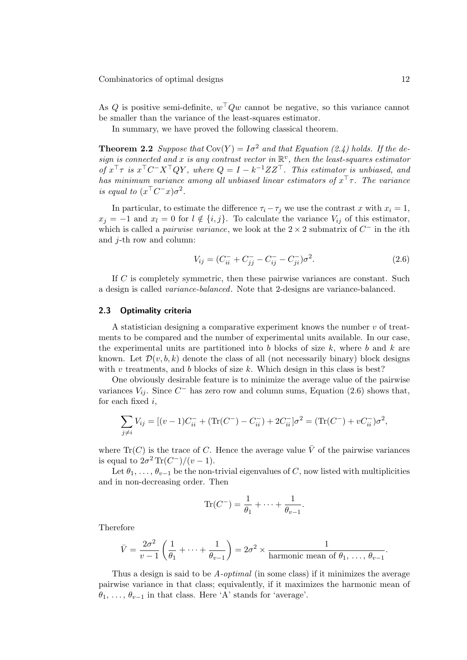As Q is positive semi-definite,  $w^{\top}Qw$  cannot be negative, so this variance cannot be smaller than the variance of the least-squares estimator.

In summary, we have proved the following classical theorem.

**Theorem 2.2** Suppose that  $Cov(Y) = I\sigma^2$  and that Equation (2.4) holds. If the design is connected and x is any contrast vector in  $\mathbb{R}^v$ , then the least-squares estimator of  $x^{\top} \tau$  is  $x^{\top} C^{-} X^{\top} Q Y$ , where  $Q = I - k^{-1} Z Z^{\top}$ . This estimator is unbiased, and has minimum variance among all unbiased linear estimators of  $x^{\top} \tau$ . The variance is equal to  $(x^{\top}C^{-}x)\sigma^2$ .

In particular, to estimate the difference  $\tau_i - \tau_j$  we use the contrast x with  $x_i = 1$ ,  $x_i = -1$  and  $x_i = 0$  for  $i \notin \{i, j\}$ . To calculate the variance  $V_{ij}$  of this estimator, which is called a *pairwise variance*, we look at the  $2 \times 2$  submatrix of  $C^-$  in the *i*th and j-th row and column:

$$
V_{ij} = (C_{ii}^- + C_{jj}^- - C_{ij}^- - C_{ji}^-)\sigma^2.
$$
\n(2.6)

If C is completely symmetric, then these pairwise variances are constant. Such a design is called variance-balanced. Note that 2-designs are variance-balanced.

#### 2.3 Optimality criteria

A statistician designing a comparative experiment knows the number  $v$  of treatments to be compared and the number of experimental units available. In our case, the experimental units are partitioned into  $b$  blocks of size  $k$ , where  $b$  and  $k$  are known. Let  $\mathcal{D}(v, b, k)$  denote the class of all (not necessarily binary) block designs with v treatments, and b blocks of size k. Which design in this class is best?

One obviously desirable feature is to minimize the average value of the pairwise variances  $V_{ij}$ . Since  $C^-$  has zero row and column sums, Equation (2.6) shows that, for each fixed  $i$ ,

$$
\sum_{j \neq i} V_{ij} = [(v-1)C_{ii}^- + (\text{Tr}(C^-) - C_{ii}^-) + 2C_{ii}^-]\sigma^2 = (\text{Tr}(C^-) + vC_{ii}^-)\sigma^2,
$$

where  $\text{Tr}(C)$  is the trace of C. Hence the average value  $\overline{V}$  of the pairwise variances is equal to  $2\sigma^2 \text{Tr}(C^-)/(v-1)$ .

Let  $\theta_1, \ldots, \theta_{v-1}$  be the non-trivial eigenvalues of C, now listed with multiplicities and in non-decreasing order. Then

$$
\text{Tr}(C^-) = \frac{1}{\theta_1} + \dots + \frac{1}{\theta_{v-1}}.
$$

Therefore

$$
\bar{V} = \frac{2\sigma^2}{v-1} \left( \frac{1}{\theta_1} + \dots + \frac{1}{\theta_{v-1}} \right) = 2\sigma^2 \times \frac{1}{\text{harmonic mean of } \theta_1, \dots, \theta_{v-1}}.
$$

Thus a design is said to be A-*optimal* (in some class) if it minimizes the average pairwise variance in that class; equivalently, if it maximizes the harmonic mean of  $\theta_1, \ldots, \theta_{v-1}$  in that class. Here 'A' stands for 'average'.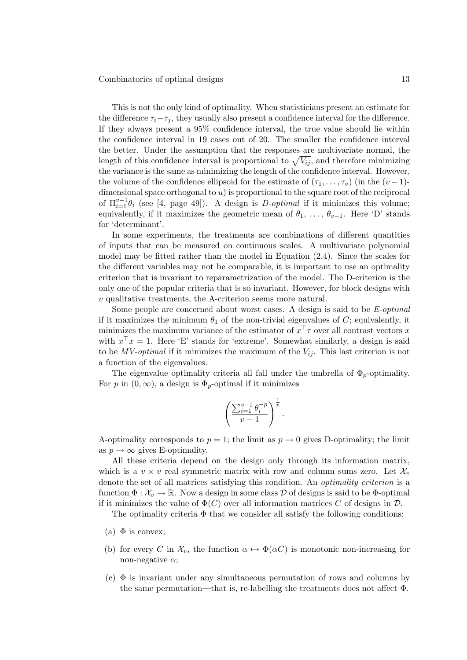This is not the only kind of optimality. When statisticians present an estimate for the difference  $\tau_i - \tau_j$ , they usually also present a confidence interval for the difference. If they always present a 95% confidence interval, the true value should lie within the confidence interval in 19 cases out of 20. The smaller the confidence interval the better. Under the assumption that the responses are multivariate normal, the length of this confidence interval is proportional to  $\sqrt{V_{ij}}$ , and therefore minimizing the variance is the same as minimizing the length of the confidence interval. However, the volume of the confidence ellipsoid for the estimate of  $(\tau_1, \ldots, \tau_v)$  (in the  $(v-1)$ dimensional space orthogonal to  $u$ ) is proportional to the square root of the reciprocal of  $\Pi_{i=1}^{v-1}\theta_i$  (see [4, page 49]). A design is *D-optimal* if it minimizes this volume; equivalently, if it maximizes the geometric mean of  $\theta_1, \ldots, \theta_{v-1}$ . Here 'D' stands for 'determinant'.

In some experiments, the treatments are combinations of different quantities of inputs that can be measured on continuous scales. A multivariate polynomial model may be fitted rather than the model in Equation (2.4). Since the scales for the different variables may not be comparable, it is important to use an optimality criterion that is invariant to reparametrization of the model. The D-criterion is the only one of the popular criteria that is so invariant. However, for block designs with v qualitative treatments, the A-criterion seems more natural.

Some people are concerned about worst cases. A design is said to be E-optimal if it maximizes the minimum  $\theta_1$  of the non-trivial eigenvalues of C; equivalently, it minimizes the maximum variance of the estimator of  $x^{\top} \tau$  over all contrast vectors x with  $x^{\top} x = 1$ . Here 'E' stands for 'extreme'. Somewhat similarly, a design is said to be  $MV-optimal$  if it minimizes the maximum of the  $V_{ij}$ . This last criterion is not a function of the eigenvalues.

The eigenvalue optimality criteria all fall under the umbrella of  $\Phi_p$ -optimality. For p in  $(0, \infty)$ , a design is  $\Phi_p$ -optimal if it minimizes

$$
\left(\frac{\sum_{i=1}^{v-1}\theta_i^{-p}}{v-1}\right)^{\frac{1}{p}}
$$

.

A-optimality corresponds to  $p = 1$ ; the limit as  $p \to 0$  gives D-optimality; the limit as  $p \to \infty$  gives E-optimality.

All these criteria depend on the design only through its information matrix, which is a  $v \times v$  real symmetric matrix with row and column sums zero. Let  $\mathcal{X}_v$ denote the set of all matrices satisfying this condition. An *optimality criterion* is a function  $\Phi : \mathcal{X}_v \to \mathbb{R}$ . Now a design in some class D of designs is said to be  $\Phi$ -optimal if it minimizes the value of  $\Phi(C)$  over all information matrices C of designs in  $\mathcal{D}$ .

The optimality criteria  $\Phi$  that we consider all satisfy the following conditions:

- (a)  $\Phi$  is convex:
- (b) for every C in  $\mathcal{X}_v$ , the function  $\alpha \mapsto \Phi(\alpha C)$  is monotonic non-increasing for non-negative  $\alpha$ ;
- $(c) \Phi$  is invariant under any simultaneous permutation of rows and columns by the same permutation—that is, re-labelling the treatments does not affect Φ.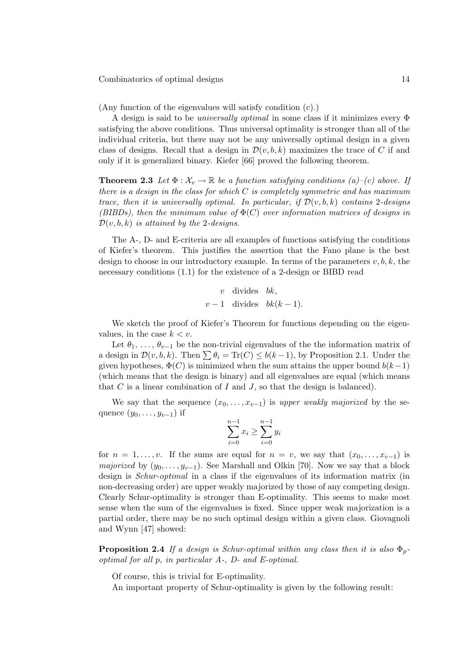(Any function of the eigenvalues will satisfy condition (c).)

A design is said to be *universally optimal* in some class if it minimizes every  $\Phi$ satisfying the above conditions. Thus universal optimality is stronger than all of the individual criteria, but there may not be any universally optimal design in a given class of designs. Recall that a design in  $\mathcal{D}(v, b, k)$  maximizes the trace of C if and only if it is generalized binary. Kiefer [66] proved the following theorem.

**Theorem 2.3** Let  $\Phi : \mathcal{X}_v \to \mathbb{R}$  be a function satisfying conditions (a)–(c) above. If there is a design in the class for which  $C$  is completely symmetric and has maximum trace, then it is universally optimal. In particular, if  $\mathcal{D}(v, b, k)$  contains 2-designs (BIBDs), then the minimum value of  $\Phi(C)$  over information matrices of designs in  $\mathcal{D}(v, b, k)$  is attained by the 2-designs.

The A-, D- and E-criteria are all examples of functions satisfying the conditions of Kiefer's theorem. This justifies the assertion that the Fano plane is the best design to choose in our introductory example. In terms of the parameters  $v, b, k$ , the necessary conditions (1.1) for the existence of a 2-design or BIBD read

> $v$  divides  $bk$ ,  $v-1$  divides  $bk(k-1)$ .

We sketch the proof of Kiefer's Theorem for functions depending on the eigenvalues, in the case  $k < v$ .

Let  $\theta_1, \ldots, \theta_{v-1}$  be the non-trivial eigenvalues of the the information matrix of a design in  $\mathcal{D}(v, b, k)$ . Then  $\sum \theta_i = \text{Tr}(C) \leq b(k-1)$ , by Proposition 2.1. Under the given hypotheses,  $\Phi(C)$  is minimized when the sum attains the upper bound  $b(k-1)$ (which means that the design is binary) and all eigenvalues are equal (which means that C is a linear combination of I and J, so that the design is balanced).

We say that the sequence  $(x_0, \ldots, x_{v-1})$  is upper weakly majorized by the sequence  $(y_0, \ldots, y_{v-1})$  if

$$
\sum_{i=0}^{n-1} x_i \ge \sum_{i=0}^{n-1} y_i
$$

for  $n = 1, \ldots, v$ . If the sums are equal for  $n = v$ , we say that  $(x_0, \ldots, x_{v-1})$  is *majorized* by  $(y_0, \ldots, y_{v-1})$ . See Marshall and Olkin [70]. Now we say that a block design is Schur-optimal in a class if the eigenvalues of its information matrix (in non-decreasing order) are upper weakly majorized by those of any competing design. Clearly Schur-optimality is stronger than E-optimality. This seems to make most sense when the sum of the eigenvalues is fixed. Since upper weak majorization is a partial order, there may be no such optimal design within a given class. Giovagnoli and Wynn [47] showed:

**Proposition 2.4** If a design is Schur-optimal within any class then it is also  $\Phi_{n-}$ optimal for all p, in particular A-, D- and E-optimal.

Of course, this is trivial for E-optimality.

An important property of Schur-optimality is given by the following result: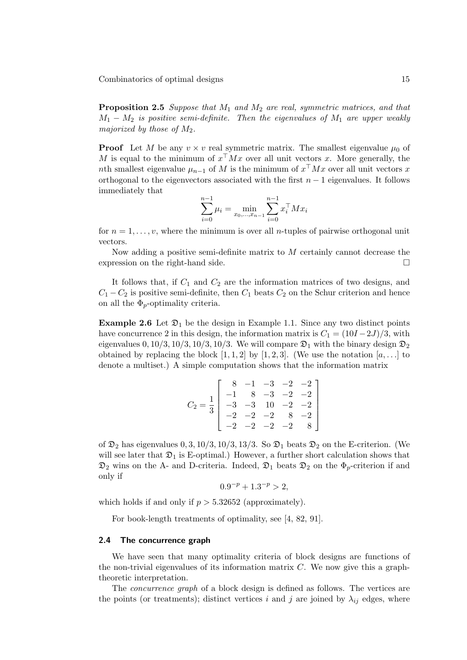**Proposition 2.5** Suppose that  $M_1$  and  $M_2$  are real, symmetric matrices, and that  $M_1 - M_2$  is positive semi-definite. Then the eigenvalues of  $M_1$  are upper weakly majorized by those of  $M_2$ .

**Proof** Let M be any  $v \times v$  real symmetric matrix. The smallest eigenvalue  $\mu_0$  of M is equal to the minimum of  $x^{\top} M x$  over all unit vectors x. More generally, the nth smallest eigenvalue  $\mu_{n-1}$  of M is the minimum of  $x^{\top}Mx$  over all unit vectors x orthogonal to the eigenvectors associated with the first  $n - 1$  eigenvalues. It follows immediately that

$$
\sum_{i=0}^{n-1} \mu_i = \min_{x_0, \dots, x_{n-1}} \sum_{i=0}^{n-1} x_i^\top M x_i
$$

for  $n = 1, \ldots, v$ , where the minimum is over all *n*-tuples of pairwise orthogonal unit vectors.

Now adding a positive semi-definite matrix to  $M$  certainly cannot decrease the expression on the right-hand side.  $\square$ 

It follows that, if  $C_1$  and  $C_2$  are the information matrices of two designs, and  $C_1 - C_2$  is positive semi-definite, then  $C_1$  beats  $C_2$  on the Schur criterion and hence on all the  $\Phi_p$ -optimality criteria.

**Example 2.6** Let  $\mathfrak{D}_1$  be the design in Example 1.1. Since any two distinct points have concurrence 2 in this design, the information matrix is  $C_1 = (10I - 2J)/3$ , with eigenvalues 0, 10/3, 10/3, 10/3, 10/3. We will compare  $\mathfrak{D}_1$  with the binary design  $\mathfrak{D}_2$ obtained by replacing the block  $[1, 1, 2]$  by  $[1, 2, 3]$ . (We use the notation  $[a, \ldots]$  to denote a multiset.) A simple computation shows that the information matrix

| $C_2 = \frac{1}{3} \begin{bmatrix} 8 & -1 & -3 & -2 & -2 \\ -1 & 8 & -3 & -2 & -2 \\ -3 & -3 & 10 & -2 & -2 \\ -2 & -2 & -2 & 8 & -2 \\ 2 & 2 & 2 & 2 & 3 \end{bmatrix}$ |  |  |                                                       |
|--------------------------------------------------------------------------------------------------------------------------------------------------------------------------|--|--|-------------------------------------------------------|
|                                                                                                                                                                          |  |  |                                                       |
|                                                                                                                                                                          |  |  |                                                       |
|                                                                                                                                                                          |  |  |                                                       |
|                                                                                                                                                                          |  |  | $\begin{bmatrix} -2 & -2 & -2 & -2 & 8 \end{bmatrix}$ |

of  $\mathfrak{D}_2$  has eigenvalues 0, 3, 10/3, 10/3, 13/3. So  $\mathfrak{D}_1$  beats  $\mathfrak{D}_2$  on the E-criterion. (We will see later that  $\mathfrak{D}_1$  is E-optimal.) However, a further short calculation shows that  $\mathfrak{D}_2$  wins on the A- and D-criteria. Indeed,  $\mathfrak{D}_1$  beats  $\mathfrak{D}_2$  on the  $\Phi_p$ -criterion if and only if

$$
0.9^{-p} + 1.3^{-p} > 2,
$$

which holds if and only if  $p > 5.32652$  (approximately).

For book-length treatments of optimality, see [4, 82, 91].

#### 2.4 The concurrence graph

We have seen that many optimality criteria of block designs are functions of the non-trivial eigenvalues of its information matrix  $C$ . We now give this a graphtheoretic interpretation.

The concurrence graph of a block design is defined as follows. The vertices are the points (or treatments); distinct vertices i and j are joined by  $\lambda_{ij}$  edges, where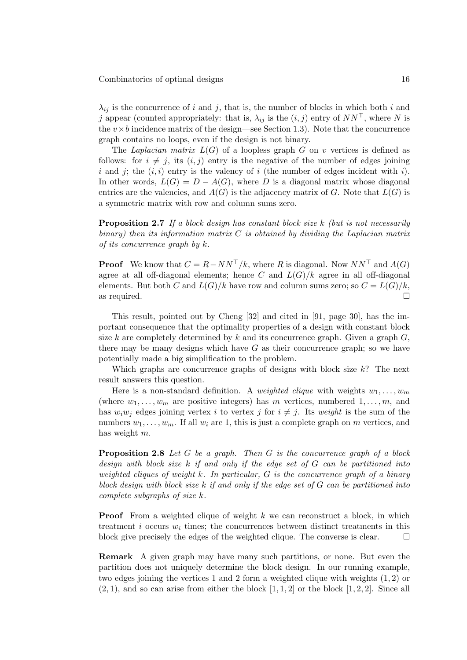$\lambda_{ij}$  is the concurrence of i and j, that is, the number of blocks in which both i and j appear (counted appropriately: that is,  $\lambda_{ij}$  is the  $(i, j)$  entry of  $NN^{\top}$ , where N is the  $v \times b$  incidence matrix of the design—see Section 1.3). Note that the concurrence graph contains no loops, even if the design is not binary.

The Laplacian matrix  $L(G)$  of a loopless graph G on v vertices is defined as follows: for  $i \neq j$ , its  $(i, j)$  entry is the negative of the number of edges joining i and j; the  $(i, i)$  entry is the valency of i (the number of edges incident with i). In other words,  $L(G) = D - A(G)$ , where D is a diagonal matrix whose diagonal entries are the valencies, and  $A(G)$  is the adjacency matrix of G. Note that  $L(G)$  is a symmetric matrix with row and column sums zero.

**Proposition 2.7** If a block design has constant block size k (but is not necessarily binary) then its information matrix  $C$  is obtained by dividing the Laplacian matrix of its concurrence graph by k.

**Proof** We know that  $C = R - NN^{\top}/k$ , where R is diagonal. Now  $NN^{\top}$  and  $A(G)$ agree at all off-diagonal elements; hence C and  $L(G)/k$  agree in all off-diagonal elements. But both C and  $L(G)/k$  have row and column sums zero; so  $C = L(G)/k$ , as required.  $\Box$ 

This result, pointed out by Cheng [32] and cited in [91, page 30], has the important consequence that the optimality properties of a design with constant block size k are completely determined by k and its concurrence graph. Given a graph  $G$ , there may be many designs which have  $G$  as their concurrence graph; so we have potentially made a big simplification to the problem.

Which graphs are concurrence graphs of designs with block size  $k$ ? The next result answers this question.

Here is a non-standard definition. A weighted clique with weights  $w_1, \ldots, w_m$ (where  $w_1, \ldots, w_m$  are positive integers) has m vertices, numbered  $1, \ldots, m$ , and has  $w_iw_j$  edges joining vertex i to vertex j for  $i \neq j$ . Its weight is the sum of the numbers  $w_1, \ldots, w_m$ . If all  $w_i$  are 1, this is just a complete graph on m vertices, and has weight m.

**Proposition 2.8** Let  $G$  be a graph. Then  $G$  is the concurrence graph of a block design with block size k if and only if the edge set of G can be partitioned into weighted cliques of weight k. In particular, G is the concurrence graph of a binary block design with block size  $k$  if and only if the edge set of  $G$  can be partitioned into complete subgraphs of size k.

**Proof** From a weighted clique of weight  $k$  we can reconstruct a block, in which treatment  $i$  occurs  $w_i$  times; the concurrences between distinct treatments in this block give precisely the edges of the weighted clique. The converse is clear.  $\Box$ 

Remark A given graph may have many such partitions, or none. But even the partition does not uniquely determine the block design. In our running example, two edges joining the vertices 1 and 2 form a weighted clique with weights (1, 2) or  $(2, 1)$ , and so can arise from either the block  $[1, 1, 2]$  or the block  $[1, 2, 2]$ . Since all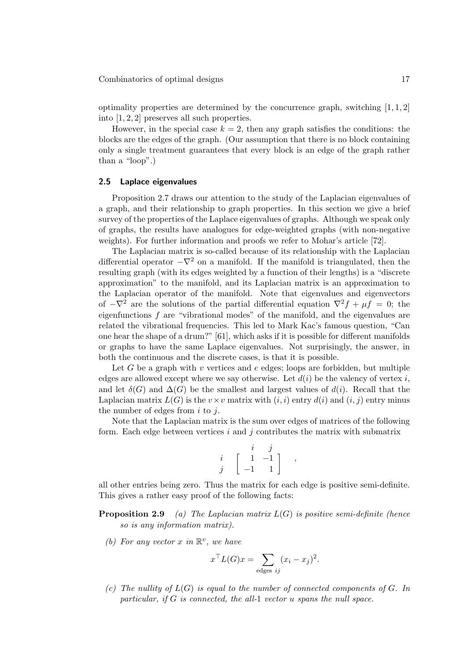optimality properties are determined by the concurrence graph, switching  $[1, 1, 2]$ into [1, 2, 2] preserves all such properties.

However, in the special case  $k = 2$ , then any graph satisfies the conditions: the blocks are the edges of the graph. (Our assumption that there is no block containing only a single treatment guarantees that every block is an edge of the graph rather than a "loop".)

#### 2.5 Laplace eigenvalues

Proposition 2.7 draws our attention to the study of the Laplacian eigenvalues of a graph, and their relationship to graph properties. In this section we give a brief survey of the properties of the Laplace eigenvalues of graphs. Although we speak only of graphs, the results have analogues for edge-weighted graphs (with non-negative weights). For further information and proofs we refer to Mohar's article [72].

The Laplacian matrix is so-called because of its relationship with the Laplacian differential operator  $-\nabla^2$  on a manifold. If the manifold is triangulated, then the resulting graph (with its edges weighted by a function of their lengths) is a "discrete approximation" to the manifold, and its Laplacian matrix is an approximation to the Laplacian operator of the manifold. Note that eigenvalues and eigenvectors of  $-\nabla^2$  are the solutions of the partial differential equation  $\nabla^2 f + \mu f = 0$ ; the eigenfunctions f are "vibrational modes" of the manifold, and the eigenvalues are related the vibrational frequencies. This led to Mark Kac's famous question, "Can one hear the shape of a drum?" [61], which asks if it is possible for different manifolds or graphs to have the same Laplace eigenvalues. Not surprisingly, the answer, in both the continuous and the discrete cases, is that it is possible.

Let G be a graph with v vertices and  $e$  edges; loops are forbidden, but multiple edges are allowed except where we say otherwise. Let  $d(i)$  be the valency of vertex i, and let  $\delta(G)$  and  $\Delta(G)$  be the smallest and largest values of  $d(i)$ . Recall that the Laplacian matrix  $L(G)$  is the  $v \times v$  matrix with  $(i, i)$  entry  $d(i)$  and  $(i, j)$  entry minus the number of edges from  $i$  to  $j$ .

Note that the Laplacian matrix is the sum over edges of matrices of the following form. Each edge between vertices  $i$  and  $j$  contributes the matrix with submatrix

$$
\begin{array}{cc} i & j \\ j & \left[ \begin{array}{cc} 1 & -1 \\ -1 & 1 \end{array} \right] \end{array}
$$

,

all other entries being zero. Thus the matrix for each edge is positive semi-definite. This gives a rather easy proof of the following facts:

**Proposition 2.9** (a) The Laplacian matrix  $L(G)$  is positive semi-definite (hence so is any information matrix).

(b) For any vector x in  $\mathbb{R}^v$ , we have

$$
x^{\top}L(G)x = \sum_{\text{edges }ij} (x_i - x_j)^2.
$$

(c) The nullity of  $L(G)$  is equal to the number of connected components of G. In particular, if G is connected, the all-1 vector u spans the null space.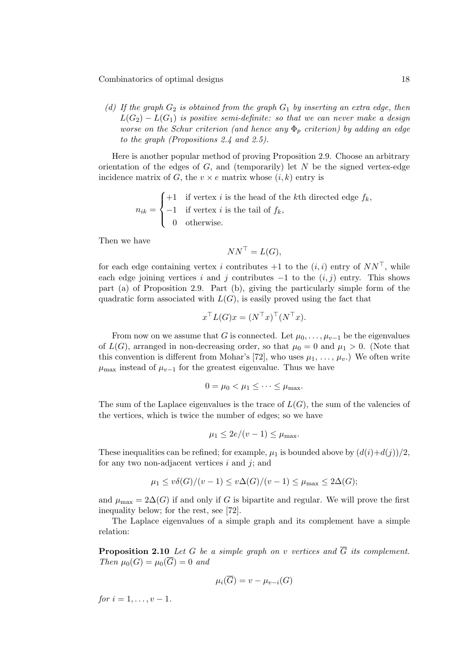(d) If the graph  $G_2$  is obtained from the graph  $G_1$  by inserting an extra edge, then  $L(G_2) - L(G_1)$  is positive semi-definite: so that we can never make a design worse on the Schur criterion (and hence any  $\Phi_p$  criterion) by adding an edge to the graph (Propositions 2.4 and 2.5).

Here is another popular method of proving Proposition 2.9. Choose an arbitrary orientation of the edges of  $G$ , and (temporarily) let  $N$  be the signed vertex-edge incidence matrix of G, the  $v \times e$  matrix whose  $(i, k)$  entry is

> $n_{ik} =$  $\sqrt{ }$  $\int$  $\overline{\mathcal{L}}$ +1 if vertex *i* is the head of the *k*th directed edge  $f_k$ ,  $-1$  if vertex *i* is the tail of  $f_k$ , 0 otherwise.

Then we have

$$
NN^{\top} = L(G),
$$

for each edge containing vertex i contributes  $+1$  to the  $(i, i)$  entry of  $NN^{\top}$ , while each edge joining vertices i and j contributes  $-1$  to the  $(i, j)$  entry. This shows part (a) of Proposition 2.9. Part (b), giving the particularly simple form of the quadratic form associated with  $L(G)$ , is easily proved using the fact that

$$
x^{\top}L(G)x = (N^{\top}x)^{\top}(N^{\top}x).
$$

From now on we assume that G is connected. Let  $\mu_0, \ldots, \mu_{v-1}$  be the eigenvalues of  $L(G)$ , arranged in non-decreasing order, so that  $\mu_0 = 0$  and  $\mu_1 > 0$ . (Note that this convention is different from Mohar's [72], who uses  $\mu_1, \ldots, \mu_n$ .) We often write  $\mu_{\text{max}}$  instead of  $\mu_{v-1}$  for the greatest eigenvalue. Thus we have

$$
0 = \mu_0 < \mu_1 \leq \cdots \leq \mu_{\text{max}}.
$$

The sum of the Laplace eigenvalues is the trace of  $L(G)$ , the sum of the valencies of the vertices, which is twice the number of edges; so we have

$$
\mu_1 \le 2e/(v-1) \le \mu_{\max}.
$$

These inequalities can be refined; for example,  $\mu_1$  is bounded above by  $(d(i)+d(j))/2$ , for any two non-adjacent vertices  $i$  and  $j$ ; and

$$
\mu_1 \leq v\delta(G)/(v-1) \leq v\Delta(G)/(v-1) \leq \mu_{\max} \leq 2\Delta(G);
$$

and  $\mu_{\text{max}} = 2\Delta(G)$  if and only if G is bipartite and regular. We will prove the first inequality below; for the rest, see [72].

The Laplace eigenvalues of a simple graph and its complement have a simple relation:

**Proposition 2.10** Let G be a simple graph on v vertices and  $\overline{G}$  its complement. Then  $\mu_0(G) = \mu_0(\overline{G}) = 0$  and

$$
\mu_i(\overline{G}) = v - \mu_{v-i}(G)
$$

for  $i = 1, \ldots, v - 1$ .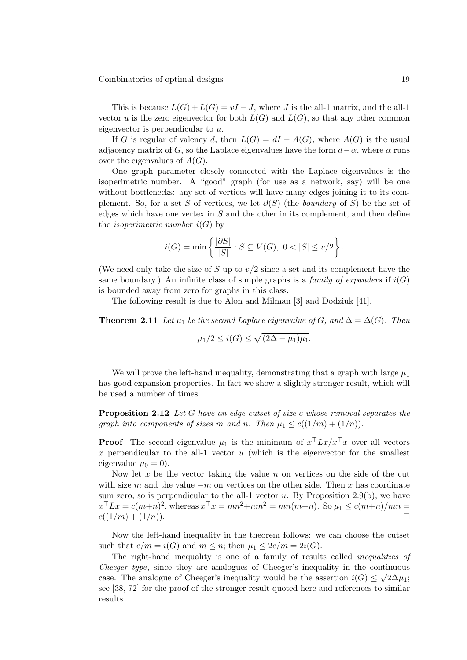This is because  $L(G) + L(\overline{G}) = vI - J$ , where J is the all-1 matrix, and the all-1 vector u is the zero eigenvector for both  $L(G)$  and  $L(\overline{G})$ , so that any other common eigenvector is perpendicular to u.

If G is regular of valency d, then  $L(G) = dI - A(G)$ , where  $A(G)$  is the usual adjacency matrix of G, so the Laplace eigenvalues have the form  $d-\alpha$ , where  $\alpha$  runs over the eigenvalues of  $A(G)$ .

One graph parameter closely connected with the Laplace eigenvalues is the isoperimetric number. A "good" graph (for use as a network, say) will be one without bottlenecks: any set of vertices will have many edges joining it to its complement. So, for a set S of vertices, we let  $\partial(S)$  (the *boundary* of S) be the set of edges which have one vertex in  $S$  and the other in its complement, and then define the *isoperimetric number*  $i(G)$  by

$$
i(G) = \min\left\{ \frac{|\partial S|}{|S|} : S \subseteq V(G), \ 0 < |S| \le v/2 \right\}.
$$

(We need only take the size of S up to  $v/2$  since a set and its complement have the same boundary.) An infinite class of simple graphs is a *family of expanders* if  $i(G)$ is bounded away from zero for graphs in this class.

The following result is due to Alon and Milman [3] and Dodziuk [41].

**Theorem 2.11** Let  $\mu_1$  be the second Laplace eigenvalue of G, and  $\Delta = \Delta(G)$ . Then

$$
\mu_1/2 \leq i(G) \leq \sqrt{(2\Delta - \mu_1)\mu_1}.
$$

We will prove the left-hand inequality, demonstrating that a graph with large  $\mu_1$ has good expansion properties. In fact we show a slightly stronger result, which will be used a number of times.

**Proposition 2.12** Let G have an edge-cutset of size c whose removal separates the graph into components of sizes m and n. Then  $\mu_1 \leq c((1/m) + (1/n))$ .

**Proof** The second eigenvalue  $\mu_1$  is the minimum of  $x^{\top} L x / x^{\top} x$  over all vectors x perpendicular to the all-1 vector  $u$  (which is the eigenvector for the smallest eigenvalue  $\mu_0 = 0$ ).

Now let x be the vector taking the value  $n$  on vertices on the side of the cut with size m and the value  $-m$  on vertices on the other side. Then x has coordinate sum zero, so is perpendicular to the all-1 vector  $u$ . By Proposition 2.9(b), we have  $x^{\top} L x = c(m+n)^2$ , whereas  $x^{\top} x = mn^2 + nm^2 = mn(m+n)$ . So  $\mu_1 \leq c(m+n)/mn =$  $c((1/m) + (1/n)).$ 

Now the left-hand inequality in the theorem follows: we can choose the cutset such that  $c/m = i(G)$  and  $m \leq n$ ; then  $\mu_1 \leq 2c/m = 2i(G)$ .

The right-hand inequality is one of a family of results called inequalities of Cheeger type, since they are analogues of Cheeger's inequality in the continuous case. The analogue of Cheeger's inequality would be the assertion  $i(G) \leq \sqrt{2\Delta\mu_1}$ ; see [38, 72] for the proof of the stronger result quoted here and references to similar results.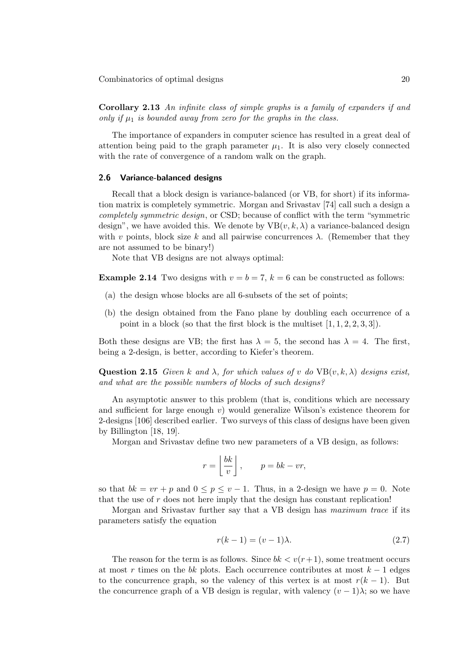Corollary 2.13 An infinite class of simple graphs is a family of expanders if and only if  $\mu_1$  is bounded away from zero for the graphs in the class.

The importance of expanders in computer science has resulted in a great deal of attention being paid to the graph parameter  $\mu_1$ . It is also very closely connected with the rate of convergence of a random walk on the graph.

#### 2.6 Variance-balanced designs

Recall that a block design is variance-balanced (or VB, for short) if its information matrix is completely symmetric. Morgan and Srivastav [74] call such a design a completely symmetric design, or CSD; because of conflict with the term "symmetric design", we have avoided this. We denote by  $VB(v, k, \lambda)$  a variance-balanced design with v points, block size k and all pairwise concurrences  $\lambda$ . (Remember that they are not assumed to be binary!)

Note that VB designs are not always optimal:

**Example 2.14** Two designs with  $v = b = 7$ ,  $k = 6$  can be constructed as follows:

- (a) the design whose blocks are all 6-subsets of the set of points;
- (b) the design obtained from the Fano plane by doubling each occurrence of a point in a block (so that the first block is the multiset  $[1, 1, 2, 2, 3, 3]$ ).

Both these designs are VB; the first has  $\lambda = 5$ , the second has  $\lambda = 4$ . The first, being a 2-design, is better, according to Kiefer's theorem.

Question 2.15 Given k and  $\lambda$ , for which values of v do  $VB(v, k, \lambda)$  designs exist, and what are the possible numbers of blocks of such designs?

An asymptotic answer to this problem (that is, conditions which are necessary and sufficient for large enough  $v$ ) would generalize Wilson's existence theorem for 2-designs [106] described earlier. Two surveys of this class of designs have been given by Billington [18, 19].

Morgan and Srivastav define two new parameters of a VB design, as follows:

$$
r = \left\lfloor \frac{bk}{v} \right\rfloor, \qquad p = bk - vr,
$$

so that  $bk = vr + p$  and  $0 \le p \le v - 1$ . Thus, in a 2-design we have  $p = 0$ . Note that the use of  $r$  does not here imply that the design has constant replication!

Morgan and Srivastav further say that a VB design has maximum trace if its parameters satisfy the equation

$$
r(k-1) = (v-1)\lambda.
$$
\n
$$
(2.7)
$$

The reason for the term is as follows. Since  $bk < v(r+1)$ , some treatment occurs at most r times on the bk plots. Each occurrence contributes at most  $k - 1$  edges to the concurrence graph, so the valency of this vertex is at most  $r(k-1)$ . But the concurrence graph of a VB design is regular, with valency  $(v-1)\lambda$ ; so we have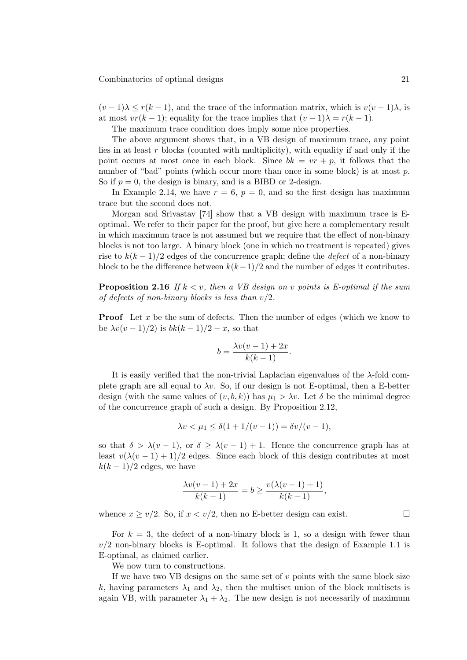$(v-1)\lambda \leq r(k-1)$ , and the trace of the information matrix, which is  $v(v-1)\lambda$ , is at most  $vr(k-1)$ ; equality for the trace implies that  $(v-1)\lambda = r(k-1)$ .

The maximum trace condition does imply some nice properties.

The above argument shows that, in a VB design of maximum trace, any point lies in at least  $r$  blocks (counted with multiplicity), with equality if and only if the point occurs at most once in each block. Since  $bk = vr + p$ , it follows that the number of "bad" points (which occur more than once in some block) is at most  $p$ . So if  $p = 0$ , the design is binary, and is a BIBD or 2-design.

In Example 2.14, we have  $r = 6$ ,  $p = 0$ , and so the first design has maximum trace but the second does not.

Morgan and Srivastav [74] show that a VB design with maximum trace is Eoptimal. We refer to their paper for the proof, but give here a complementary result in which maximum trace is not assumed but we require that the effect of non-binary blocks is not too large. A binary block (one in which no treatment is repeated) gives rise to  $k(k-1)/2$  edges of the concurrence graph; define the *defect* of a non-binary block to be the difference between  $k(k-1)/2$  and the number of edges it contributes.

**Proposition 2.16** If  $k < v$ , then a VB design on v points is E-optimal if the sum of defects of non-binary blocks is less than  $v/2$ .

**Proof** Let x be the sum of defects. Then the number of edges (which we know to be  $\lambda v(v-1)/2$ ) is  $bk(k-1)/2-x$ , so that

$$
b = \frac{\lambda v(v-1) + 2x}{k(k-1)}.
$$

It is easily verified that the non-trivial Laplacian eigenvalues of the λ-fold complete graph are all equal to  $\lambda v$ . So, if our design is not E-optimal, then a E-better design (with the same values of  $(v, b, k)$ ) has  $\mu_1 > \lambda v$ . Let  $\delta$  be the minimal degree of the concurrence graph of such a design. By Proposition 2.12,

$$
\lambda v < \mu_1 \le \delta(1 + 1/(v - 1)) = \delta v / (v - 1),
$$

so that  $\delta > \lambda(v-1)$ , or  $\delta \geq \lambda(v-1)+1$ . Hence the concurrence graph has at least  $v(\lambda(v-1)+1)/2$  edges. Since each block of this design contributes at most  $k(k-1)/2$  edges, we have

$$
\frac{\lambda v(v-1) + 2x}{k(k-1)} = b \ge \frac{v(\lambda(v-1) + 1)}{k(k-1)},
$$

whence  $x \ge v/2$ . So, if  $x < v/2$ , then no E-better design can exist.

For  $k = 3$ , the defect of a non-binary block is 1, so a design with fewer than  $v/2$  non-binary blocks is E-optimal. It follows that the design of Example 1.1 is E-optimal, as claimed earlier.

We now turn to constructions.

If we have two VB designs on the same set of  $v$  points with the same block size k, having parameters  $\lambda_1$  and  $\lambda_2$ , then the multiset union of the block multisets is again VB, with parameter  $\lambda_1 + \lambda_2$ . The new design is not necessarily of maximum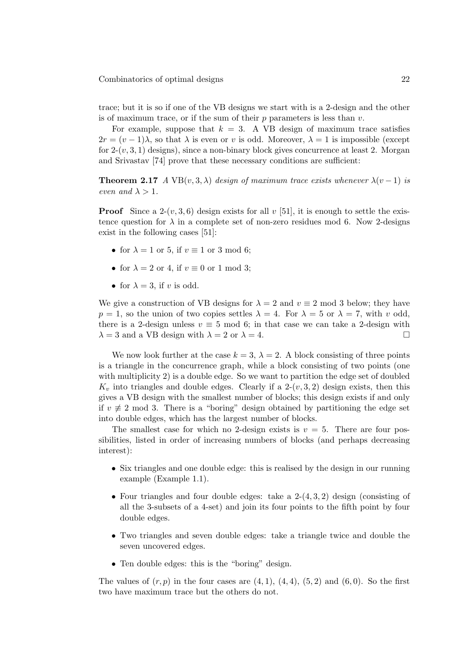trace; but it is so if one of the VB designs we start with is a 2-design and the other is of maximum trace, or if the sum of their p parameters is less than  $v$ .

For example, suppose that  $k = 3$ . A VB design of maximum trace satisfies  $2r = (v-1)\lambda$ , so that  $\lambda$  is even or v is odd. Moreover,  $\lambda = 1$  is impossible (except for  $2-(v, 3, 1)$  designs), since a non-binary block gives concurrence at least 2. Morgan and Srivastav [74] prove that these necessary conditions are sufficient:

**Theorem 2.17** A VB(v, 3,  $\lambda$ ) design of maximum trace exists whenever  $\lambda(v-1)$  is even and  $\lambda > 1$ .

**Proof** Since a 2- $(v, 3, 6)$  design exists for all v [51], it is enough to settle the existence question for  $\lambda$  in a complete set of non-zero residues mod 6. Now 2-designs exist in the following cases [51]:

- for  $\lambda = 1$  or 5, if  $v \equiv 1$  or 3 mod 6;
- for  $\lambda = 2$  or 4, if  $v \equiv 0$  or 1 mod 3;
- for  $\lambda = 3$ , if v is odd.

We give a construction of VB designs for  $\lambda = 2$  and  $v \equiv 2 \mod 3$  below; they have  $p = 1$ , so the union of two copies settles  $\lambda = 4$ . For  $\lambda = 5$  or  $\lambda = 7$ , with v odd, there is a 2-design unless  $v \equiv 5 \mod 6$ ; in that case we can take a 2-design with  $\lambda = 3$  and a VB design with  $\lambda = 2$  or  $\lambda = 4$ .

We now look further at the case  $k = 3$ ,  $\lambda = 2$ . A block consisting of three points is a triangle in the concurrence graph, while a block consisting of two points (one with multiplicity 2) is a double edge. So we want to partition the edge set of doubled  $K_v$  into triangles and double edges. Clearly if a 2-(v, 3, 2) design exists, then this gives a VB design with the smallest number of blocks; this design exists if and only if  $v \neq 2$  mod 3. There is a "boring" design obtained by partitioning the edge set into double edges, which has the largest number of blocks.

The smallest case for which no 2-design exists is  $v = 5$ . There are four possibilities, listed in order of increasing numbers of blocks (and perhaps decreasing interest):

- Six triangles and one double edge: this is realised by the design in our running example (Example 1.1).
- Four triangles and four double edges: take a  $2-(4,3,2)$  design (consisting of all the 3-subsets of a 4-set) and join its four points to the fifth point by four double edges.
- Two triangles and seven double edges: take a triangle twice and double the seven uncovered edges.
- Ten double edges: this is the "boring" design.

The values of  $(r, p)$  in the four cases are  $(4, 1)$ ,  $(4, 4)$ ,  $(5, 2)$  and  $(6, 0)$ . So the first two have maximum trace but the others do not.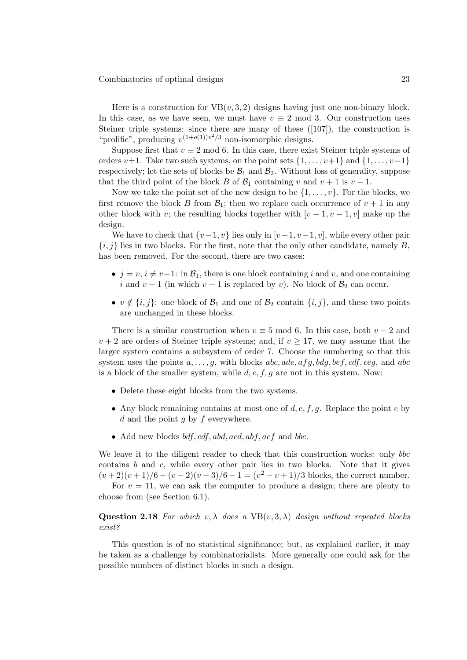Here is a construction for  $VB(v, 3, 2)$  designs having just one non-binary block. In this case, as we have seen, we must have  $v \equiv 2 \mod 3$ . Our construction uses Steiner triple systems; since there are many of these ([107]), the construction is "prolific", producing  $v^{(1+o(1))v^2/3}$  non-isomorphic designs.

Suppose first that  $v \equiv 2 \mod 6$ . In this case, there exist Steiner triple systems of orders  $v\pm 1$ . Take two such systems, on the point sets  $\{1,\ldots,v+1\}$  and  $\{1,\ldots,v-1\}$ respectively; let the sets of blocks be  $\mathcal{B}_1$  and  $\mathcal{B}_2$ . Without loss of generality, suppose that the third point of the block B of  $\mathcal{B}_1$  containing v and  $v + 1$  is  $v - 1$ .

Now we take the point set of the new design to be  $\{1, \ldots, v\}$ . For the blocks, we first remove the block B from  $\mathcal{B}_1$ ; then we replace each occurrence of  $v + 1$  in any other block with v; the resulting blocks together with  $[v-1, v-1, v]$  make up the design.

We have to check that  $\{v-1, v\}$  lies only in  $[v-1, v-1, v]$ , while every other pair  $\{i, j\}$  lies in two blocks. For the first, note that the only other candidate, namely B. has been removed. For the second, there are two cases:

- $j = v, i \neq v-1$ : in  $\mathcal{B}_1$ , there is one block containing i and v, and one containing i and  $v + 1$  (in which  $v + 1$  is replaced by v). No block of  $\mathcal{B}_2$  can occur.
- $v \notin \{i, j\}$ : one block of  $\mathcal{B}_1$  and one of  $\mathcal{B}_2$  contain  $\{i, j\}$ , and these two points are unchanged in these blocks.

There is a similar construction when  $v \equiv 5 \mod 6$ . In this case, both  $v - 2$  and  $v + 2$  are orders of Steiner triple systems; and, if  $v \ge 17$ , we may assume that the larger system contains a subsystem of order 7. Choose the numbering so that this system uses the points  $a, \ldots, g$ , with blocks  $abc, ade, afg, bdg, bef, cdf, ceg$ , and  $abc$ is a block of the smaller system, while  $d, e, f, q$  are not in this system. Now:

- Delete these eight blocks from the two systems.
- Any block remaining contains at most one of  $d, e, f, g$ . Replace the point  $e$  by d and the point q by f everywhere.
- Add new blocks  $\mathit{bdf}, \mathit{cdf}, \mathit{abd}, \mathit{acd}, \mathit{abf}, \mathit{acf}$  and  $\mathit{bbc}.$

We leave it to the diligent reader to check that this construction works: only bbc contains b and c, while every other pair lies in two blocks. Note that it gives  $(v+2)(v+1)/6 + (v-2)(v-3)/6 - 1 = (v^2 - v + 1)/3$  blocks, the correct number.

For  $v = 11$ , we can ask the computer to produce a design; there are plenty to choose from (see Section 6.1).

# **Question 2.18** For which  $v, \lambda$  does a  $VB(v, 3, \lambda)$  design without repeated blocks exist?

This question is of no statistical significance; but, as explained earlier, it may be taken as a challenge by combinatorialists. More generally one could ask for the possible numbers of distinct blocks in such a design.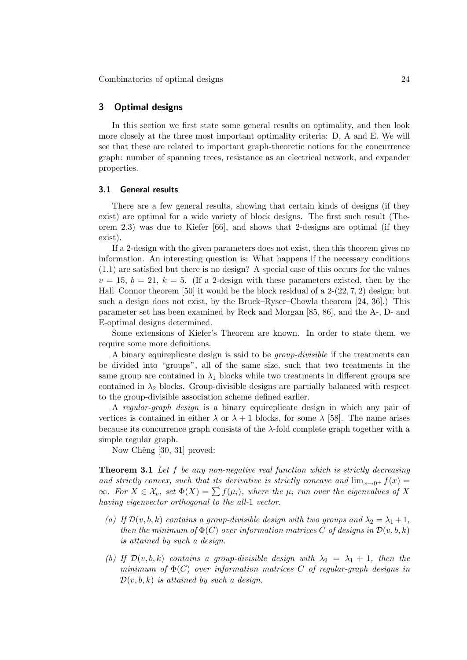# 3 Optimal designs

In this section we first state some general results on optimality, and then look more closely at the three most important optimality criteria: D, A and E. We will see that these are related to important graph-theoretic notions for the concurrence graph: number of spanning trees, resistance as an electrical network, and expander properties.

### 3.1 General results

There are a few general results, showing that certain kinds of designs (if they exist) are optimal for a wide variety of block designs. The first such result (Theorem 2.3) was due to Kiefer [66], and shows that 2-designs are optimal (if they exist).

If a 2-design with the given parameters does not exist, then this theorem gives no information. An interesting question is: What happens if the necessary conditions (1.1) are satisfied but there is no design? A special case of this occurs for the values  $v = 15, b = 21, k = 5$ . (If a 2-design with these parameters existed, then by the Hall–Connor theorem [50] it would be the block residual of a  $2-(22, 7, 2)$  design; but such a design does not exist, by the Bruck–Ryser–Chowla theorem [24, 36].) This parameter set has been examined by Reck and Morgan [85, 86], and the A-, D- and E-optimal designs determined.

Some extensions of Kiefer's Theorem are known. In order to state them, we require some more definitions.

A binary equireplicate design is said to be group-divisible if the treatments can be divided into "groups", all of the same size, such that two treatments in the same group are contained in  $\lambda_1$  blocks while two treatments in different groups are contained in  $\lambda_2$  blocks. Group-divisible designs are partially balanced with respect to the group-divisible association scheme defined earlier.

A regular-graph design is a binary equireplicate design in which any pair of vertices is contained in either  $\lambda$  or  $\lambda + 1$  blocks, for some  $\lambda$  [58]. The name arises because its concurrence graph consists of the  $\lambda$ -fold complete graph together with a simple regular graph.

Now Chêng [30, 31] proved:

**Theorem 3.1** Let f be any non-negative real function which is strictly decreasing and strictly convex, such that its derivative is strictly concave and  $\lim_{x\to 0^+} f(x) =$  $\infty$ . For  $X \in \mathcal{X}_v$ , set  $\Phi(X) = \sum f(\mu_i)$ , where the  $\mu_i$  run over the eigenvalues of X having eigenvector orthogonal to the all-1 vector.

- (a) If  $\mathcal{D}(v, b, k)$  contains a group-divisible design with two groups and  $\lambda_2 = \lambda_1 + 1$ , then the minimum of  $\Phi(C)$  over information matrices C of designs in  $\mathcal{D}(v, b, k)$ is attained by such a design.
- (b) If  $\mathcal{D}(v, b, k)$  contains a group-divisible design with  $\lambda_2 = \lambda_1 + 1$ , then the minimum of  $\Phi(C)$  over information matrices C of regular-graph designs in  $\mathcal{D}(v, b, k)$  is attained by such a design.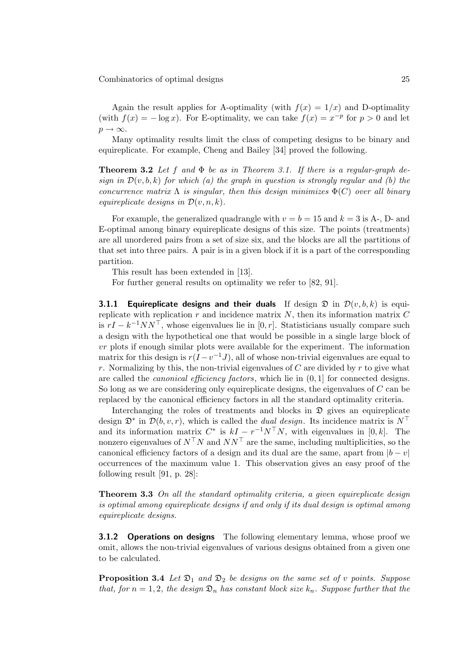Again the result applies for A-optimality (with  $f(x) = 1/x$ ) and D-optimality (with  $f(x) = -\log x$ ). For E-optimality, we can take  $f(x) = x^{-p}$  for  $p > 0$  and let  $p \to \infty$ .

Many optimality results limit the class of competing designs to be binary and equireplicate. For example, Cheng and Bailey [34] proved the following.

**Theorem 3.2** Let f and  $\Phi$  be as in Theorem 3.1. If there is a regular-graph design in  $\mathcal{D}(v, b, k)$  for which (a) the graph in question is strongly regular and (b) the concurrence matrix  $\Lambda$  is singular, then this design minimizes  $\Phi(C)$  over all binary equireplicate designs in  $\mathcal{D}(v, n, k)$ .

For example, the generalized quadrangle with  $v = b = 15$  and  $k = 3$  is A-, D- and E-optimal among binary equireplicate designs of this size. The points (treatments) are all unordered pairs from a set of size six, and the blocks are all the partitions of that set into three pairs. A pair is in a given block if it is a part of the corresponding partition.

This result has been extended in [13].

For further general results on optimality we refer to [82, 91].

**3.1.1 Equireplicate designs and their duals** If design  $\mathcal{D}$  in  $\mathcal{D}(v, b, k)$  is equireplicate with replication  $r$  and incidence matrix  $N$ , then its information matrix  $C$ is  $rI - k^{-1}NN^{\top}$ , whose eigenvalues lie in [0, r]. Statisticians usually compare such a design with the hypothetical one that would be possible in a single large block of vr plots if enough similar plots were available for the experiment. The information matrix for this design is  $r(I - v^{-1}J)$ , all of whose non-trivial eigenvalues are equal to r. Normalizing by this, the non-trivial eigenvalues of  $C$  are divided by  $r$  to give what are called the *canonical efficiency factors*, which lie in  $(0, 1]$  for connected designs. So long as we are considering only equireplicate designs, the eigenvalues of C can be replaced by the canonical efficiency factors in all the standard optimality criteria.

Interchanging the roles of treatments and blocks in  $\mathfrak D$  gives an equireplicate design  $\mathfrak{D}^*$  in  $\mathcal{D}(b, v, r)$ , which is called the *dual design*. Its incidence matrix is  $N^{\top}$ and its information matrix  $C^*$  is  $kI - r^{-1}N^{\top}N$ , with eigenvalues in [0, k]. The nonzero eigenvalues of  $N^{\top}N$  and  $NN^{\top}$  are the same, including multiplicities, so the canonical efficiency factors of a design and its dual are the same, apart from  $|b - v|$ occurrences of the maximum value 1. This observation gives an easy proof of the following result [91, p. 28]:

**Theorem 3.3** On all the standard optimality criteria, a given equireplicate design is optimal among equireplicate designs if and only if its dual design is optimal among equireplicate designs.

**3.1.2 Operations on designs** The following elementary lemma, whose proof we omit, allows the non-trivial eigenvalues of various designs obtained from a given one to be calculated.

**Proposition 3.4** Let  $\mathfrak{D}_1$  and  $\mathfrak{D}_2$  be designs on the same set of v points. Suppose that, for  $n = 1, 2$ , the design  $\mathfrak{D}_n$  has constant block size  $k_n$ . Suppose further that the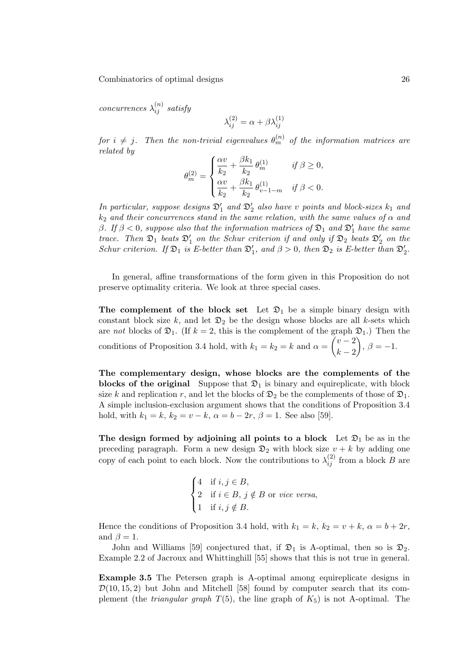concurrences  $\lambda_{ij}^{(n)}$  satisfy

$$
\lambda_{ij}^{(2)}=\alpha+\beta\lambda_{ij}^{(1)}
$$

for  $i \neq j$ . Then the non-trivial eigenvalues  $\theta_{m}^{(n)}$  of the information matrices are related by

$$
\theta_m^{(2)} = \begin{cases} \frac{\alpha v}{k_2} + \frac{\beta k_1}{k_2} \theta_m^{(1)} & \text{if } \beta \ge 0, \\ \frac{\alpha v}{k_2} + \frac{\beta k_1}{k_2} \theta_{v-1-m}^{(1)} & \text{if } \beta < 0. \end{cases}
$$

In particular, suppose designs  $\mathfrak{D}'_1$  and  $\mathfrak{D}'_2$  also have v points and block-sizes  $k_1$  and  $k_2$  and their concurrences stand in the same relation, with the same values of  $\alpha$  and  $\beta$ . If  $\beta < 0$ , suppose also that the information matrices of  $\mathfrak{D}_1$  and  $\mathfrak{D}'_1$  have the same trace. Then  $\mathfrak{D}_1$  beats  $\mathfrak{D}'_1$  on the Schur criterion if and only if  $\mathfrak{D}_2$  beats  $\mathfrak{D}'_2$  on the Schur criterion. If  $\mathfrak{D}_1$  is E-better than  $\mathfrak{D}'_1$ , and  $\beta > 0$ , then  $\mathfrak{D}_2$  is E-better than  $\mathfrak{D}'_2$ .

In general, affine transformations of the form given in this Proposition do not preserve optimality criteria. We look at three special cases.

The complement of the block set Let  $\mathfrak{D}_1$  be a simple binary design with constant block size  $k$ , and let  $\mathfrak{D}_2$  be the design whose blocks are all  $k$ -sets which are not blocks of  $\mathfrak{D}_1$ . (If  $k = 2$ , this is the complement of the graph  $\mathfrak{D}_1$ .) Then the conditions of Proposition 3.4 hold, with  $k_1 = k_2 = k$  and  $\alpha = \begin{pmatrix} v-2 \\ h-2 \end{pmatrix}$  $k-2$  $\bigg), \ \beta = -1.$ 

The complementary design, whose blocks are the complements of the **blocks of the original** Suppose that  $\mathfrak{D}_1$  is binary and equireplicate, with block size k and replication r, and let the blocks of  $\mathfrak{D}_2$  be the complements of those of  $\mathfrak{D}_1$ . A simple inclusion-exclusion argument shows that the conditions of Proposition 3.4 hold, with  $k_1 = k$ ,  $k_2 = v - k$ ,  $\alpha = b - 2r$ ,  $\beta = 1$ . See also [59].

The design formed by adjoining all points to a block Let  $\mathfrak{D}_1$  be as in the preceding paragraph. Form a new design  $\mathfrak{D}_2$  with block size  $v + k$  by adding one copy of each point to each block. Now the contributions to  $\lambda_{ij}^{(2)}$  from a block B are

$$
\begin{cases}\n4 & \text{if } i, j \in B, \\
2 & \text{if } i \in B, j \notin B \text{ or } vice \text{ versa,} \\
1 & \text{if } i, j \notin B.\n\end{cases}
$$

Hence the conditions of Proposition 3.4 hold, with  $k_1 = k$ ,  $k_2 = v + k$ ,  $\alpha = b + 2r$ , and  $\beta = 1$ .

John and Williams [59] conjectured that, if  $\mathfrak{D}_1$  is A-optimal, then so is  $\mathfrak{D}_2$ . Example 2.2 of Jacroux and Whittinghill [55] shows that this is not true in general.

Example 3.5 The Petersen graph is A-optimal among equireplicate designs in  $\mathcal{D}(10, 15, 2)$  but John and Mitchell [58] found by computer search that its complement (the *triangular graph*  $T(5)$ , the line graph of  $K_5$ ) is not A-optimal. The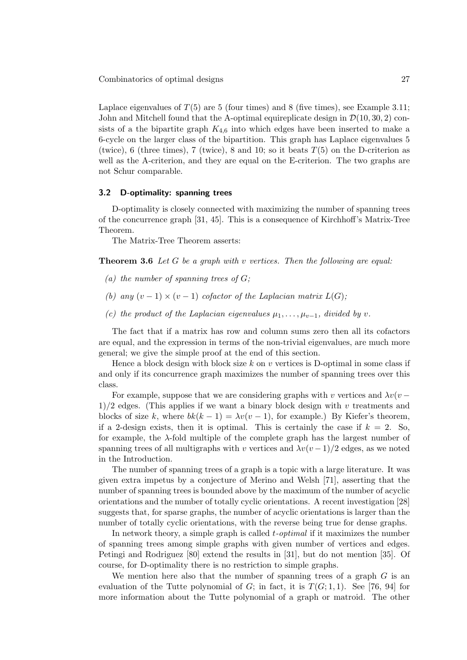Laplace eigenvalues of  $T(5)$  are 5 (four times) and 8 (five times), see Example 3.11; John and Mitchell found that the A-optimal equireplicate design in  $\mathcal{D}(10, 30, 2)$  consists of a the bipartite graph  $K_{4,6}$  into which edges have been inserted to make a 6-cycle on the larger class of the bipartition. This graph has Laplace eigenvalues 5 (twice), 6 (three times), 7 (twice), 8 and 10; so it beats  $T(5)$  on the D-criterion as well as the A-criterion, and they are equal on the E-criterion. The two graphs are not Schur comparable.

#### 3.2 D-optimality: spanning trees

D-optimality is closely connected with maximizing the number of spanning trees of the concurrence graph [31, 45]. This is a consequence of Kirchhoff's Matrix-Tree Theorem.

The Matrix-Tree Theorem asserts:

**Theorem 3.6** Let G be a graph with v vertices. Then the following are equal:

- (a) the number of spanning trees of  $G$ ;
- (b) any  $(v-1) \times (v-1)$  cofactor of the Laplacian matrix  $L(G)$ :
- (c) the product of the Laplacian eigenvalues  $\mu_1, \ldots, \mu_{v-1}$ , divided by v.

The fact that if a matrix has row and column sums zero then all its cofactors are equal, and the expression in terms of the non-trivial eigenvalues, are much more general; we give the simple proof at the end of this section.

Hence a block design with block size  $k$  on  $v$  vertices is D-optimal in some class if and only if its concurrence graph maximizes the number of spanning trees over this class.

For example, suppose that we are considering graphs with v vertices and  $\lambda v(v 1/2$  edges. (This applies if we want a binary block design with v treatments and blocks of size k, where  $bk(k-1) = \lambda v(v-1)$ , for example.) By Kiefer's theorem, if a 2-design exists, then it is optimal. This is certainly the case if  $k = 2$ . So, for example, the  $\lambda$ -fold multiple of the complete graph has the largest number of spanning trees of all multigraphs with v vertices and  $\lambda v(v-1)/2$  edges, as we noted in the Introduction.

The number of spanning trees of a graph is a topic with a large literature. It was given extra impetus by a conjecture of Merino and Welsh [71], asserting that the number of spanning trees is bounded above by the maximum of the number of acyclic orientations and the number of totally cyclic orientations. A recent investigation [28] suggests that, for sparse graphs, the number of acyclic orientations is larger than the number of totally cyclic orientations, with the reverse being true for dense graphs.

In network theory, a simple graph is called  $t$ -*optimal* if it maximizes the number of spanning trees among simple graphs with given number of vertices and edges. Petingi and Rodriguez [80] extend the results in [31], but do not mention [35]. Of course, for D-optimality there is no restriction to simple graphs.

We mention here also that the number of spanning trees of a graph  $G$  is an evaluation of the Tutte polynomial of  $G$ ; in fact, it is  $T(G; 1, 1)$ . See [76, 94] for more information about the Tutte polynomial of a graph or matroid. The other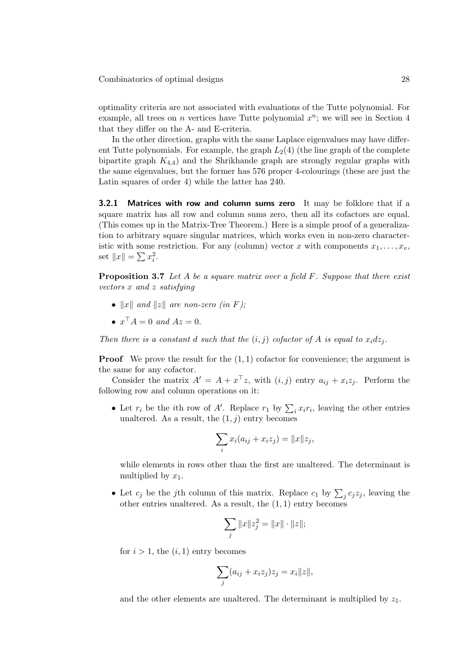optimality criteria are not associated with evaluations of the Tutte polynomial. For example, all trees on n vertices have Tutte polynomial  $x^n$ ; we will see in Section 4 that they differ on the A- and E-criteria.

In the other direction, graphs with the same Laplace eigenvalues may have different Tutte polynomials. For example, the graph  $L_2(4)$  (the line graph of the complete bipartite graph  $K_{4,4}$ ) and the Shrikhande graph are strongly regular graphs with the same eigenvalues, but the former has 576 proper 4-colourings (these are just the Latin squares of order 4) while the latter has 240.

**3.2.1 Matrices with row and column sums zero** It may be folklore that if a square matrix has all row and column sums zero, then all its cofactors are equal. (This comes up in the Matrix-Tree Theorem.) Here is a simple proof of a generalization to arbitrary square singular matrices, which works even in non-zero characteristic with some restriction. For any (column) vector x with components  $x_1, \ldots, x_v$ , set  $||x|| = \sum x_i^2$ .

**Proposition 3.7** Let A be a square matrix over a field  $F$ . Suppose that there exist vectors x and z satisfying

- $||x||$  and  $||z||$  are non-zero (in F);
- $x^{\top}A = 0$  and  $Az = 0$ .

Then there is a constant d such that the  $(i, j)$  cofactor of A is equal to  $x_i dz_j$ .

**Proof** We prove the result for the  $(1, 1)$  cofactor for convenience; the argument is the same for any cofactor.

Consider the matrix  $A' = A + x^{\top}z$ , with  $(i, j)$  entry  $a_{ij} + x_i z_j$ . Perform the following row and column operations on it:

• Let  $r_i$  be the *i*th row of A'. Replace  $r_1$  by  $\sum_i x_i r_i$ , leaving the other entries unaltered. As a result, the  $(1, j)$  entry becomes

$$
\sum_i x_i (a_{ij} + x_i z_j) = ||x|| z_j,
$$

while elements in rows other than the first are unaltered. The determinant is multiplied by  $x_1$ .

• Let  $c_j$  be the jth column of this matrix. Replace  $c_1$  by  $\sum_j c_j z_j$ , leaving the other entries unaltered. As a result, the (1, 1) entry becomes

$$
\sum_{j} ||x||z_j^2 = ||x|| \cdot ||z||;
$$

for  $i > 1$ , the  $(i, 1)$  entry becomes

$$
\sum_j (a_{ij} + x_i z_j) z_j = x_i ||z||,
$$

and the other elements are unaltered. The determinant is multiplied by  $z_1$ .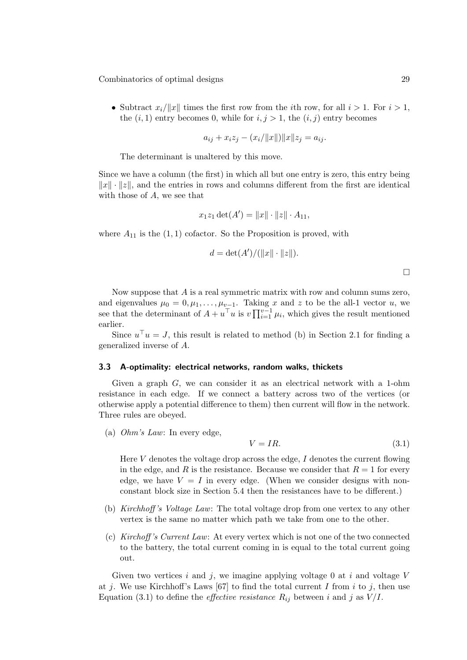• Subtract  $x_i/||x||$  times the first row from the *i*th row, for all  $i > 1$ . For  $i > 1$ , the  $(i, 1)$  entry becomes 0, while for  $i, j > 1$ , the  $(i, j)$  entry becomes

$$
a_{ij} + x_i z_j - (x_i/\|x\|) \|x\| z_j = a_{ij}.
$$

The determinant is unaltered by this move.

Since we have a column (the first) in which all but one entry is zero, this entry being  $||x|| \cdot ||z||$ , and the entries in rows and columns different from the first are identical with those of A, we see that

$$
x_1 z_1 \det(A') = ||x|| \cdot ||z|| \cdot A_{11},
$$

where  $A_{11}$  is the  $(1, 1)$  cofactor. So the Proposition is proved, with

$$
d = \det(A')/(\|x\| \cdot \|z\|).
$$

 $\Box$ 

Now suppose that A is a real symmetric matrix with row and column sums zero, and eigenvalues  $\mu_0 = 0, \mu_1, \ldots, \mu_{v-1}$ . Taking x and z to be the all-1 vector u, we see that the determinant of  $A + u^{\top}u$  is  $v \prod_{i=1}^{v-1} \mu_i$ , which gives the result mentioned earlier.

Since  $u^{\top}u = J$ , this result is related to method (b) in Section 2.1 for finding a generalized inverse of A.

#### 3.3 A-optimality: electrical networks, random walks, thickets

Given a graph  $G$ , we can consider it as an electrical network with a 1-ohm resistance in each edge. If we connect a battery across two of the vertices (or otherwise apply a potential difference to them) then current will flow in the network. Three rules are obeyed.

(a) Ohm's Law: In every edge,

$$
V = IR.\tag{3.1}
$$

Here  $V$  denotes the voltage drop across the edge,  $I$  denotes the current flowing in the edge, and R is the resistance. Because we consider that  $R = 1$  for every edge, we have  $V = I$  in every edge. (When we consider designs with nonconstant block size in Section 5.4 then the resistances have to be different.)

- (b) Kirchhoff 's Voltage Law: The total voltage drop from one vertex to any other vertex is the same no matter which path we take from one to the other.
- (c) Kirchoff 's Current Law: At every vertex which is not one of the two connected to the battery, the total current coming in is equal to the total current going out.

Given two vertices i and j, we imagine applying voltage 0 at i and voltage V at j. We use Kirchhoff's Laws [67] to find the total current I from i to j, then use Equation (3.1) to define the *effective resistance*  $R_{ij}$  between i and j as  $V/I$ .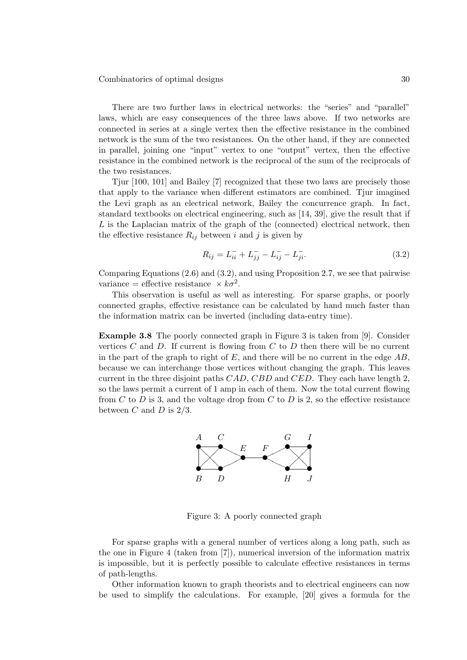There are two further laws in electrical networks: the "series" and "parallel" laws, which are easy consequences of the three laws above. If two networks are connected in series at a single vertex then the effective resistance in the combined network is the sum of the two resistances. On the other hand, if they are connected in parallel, joining one "input" vertex to one "output" vertex, then the effective resistance in the combined network is the reciprocal of the sum of the reciprocals of the two resistances.

Tjur [100, 101] and Bailey [7] recognized that these two laws are precisely those that apply to the variance when different estimators are combined. Tjur imagined the Levi graph as an electrical network, Bailey the concurrence graph. In fact, standard textbooks on electrical engineering, such as [14, 39], give the result that if L is the Laplacian matrix of the graph of the (connected) electrical network, then the effective resistance  $R_{ij}$  between i and j is given by

$$
R_{ij} = L_{ii}^- + L_{jj}^- - L_{ij}^- - L_{ji}^-.
$$
\n(3.2)

Comparing Equations (2.6) and (3.2), and using Proposition 2.7, we see that pairwise variance = effective resistance  $\times k\sigma^2$ .

This observation is useful as well as interesting. For sparse graphs, or poorly connected graphs, effective resistance can be calculated by hand much faster than the information matrix can be inverted (including data-entry time).

Example 3.8 The poorly connected graph in Figure 3 is taken from [9]. Consider vertices  $C$  and  $D$ . If current is flowing from  $C$  to  $D$  then there will be no current in the part of the graph to right of  $E$ , and there will be no current in the edge  $AB$ , because we can interchange those vertices without changing the graph. This leaves current in the three disjoint paths CAD, CBD and CED. They each have length 2, so the laws permit a current of 1 amp in each of them. Now the total current flowing from  $C$  to  $D$  is 3, and the voltage drop from  $C$  to  $D$  is 2, so the effective resistance between C and D is  $2/3$ .



Figure 3: A poorly connected graph

For sparse graphs with a general number of vertices along a long path, such as the one in Figure 4 (taken from [7]), numerical inversion of the information matrix is impossible, but it is perfectly possible to calculate effective resistances in terms of path-lengths.

Other information known to graph theorists and to electrical engineers can now be used to simplify the calculations. For example, [20] gives a formula for the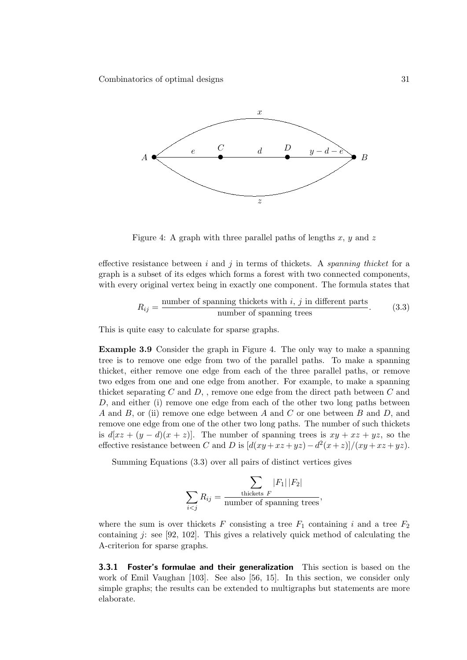

Figure 4: A graph with three parallel paths of lengths x, y and z

effective resistance between i and j in terms of thickets. A spanning thicket for a graph is a subset of its edges which forms a forest with two connected components, with every original vertex being in exactly one component. The formula states that

$$
R_{ij} = \frac{\text{number of spanning thickness with } i, j \text{ in different parts}}{\text{number of spanning trees}}.\tag{3.3}
$$

This is quite easy to calculate for sparse graphs.

Example 3.9 Consider the graph in Figure 4. The only way to make a spanning tree is to remove one edge from two of the parallel paths. To make a spanning thicket, either remove one edge from each of the three parallel paths, or remove two edges from one and one edge from another. For example, to make a spanning thicket separating  $C$  and  $D$ , , remove one edge from the direct path between  $C$  and D, and either (i) remove one edge from each of the other two long paths between A and B, or (ii) remove one edge between A and C or one between B and D, and remove one edge from one of the other two long paths. The number of such thickets is  $d[xz + (y - d)(x + z)]$ . The number of spanning trees is  $xy + xz + yz$ , so the effective resistance between C and D is  $\left[\frac{d(xy+xz+yz)-d^2(x+z)}{dx+yz}\right]$ .

Summing Equations (3.3) over all pairs of distinct vertices gives

$$
\sum_{i < j} R_{ij} = \frac{\sum_{\text{thickets } F} |F_1| |F_2|}{\text{number of spanning trees}},
$$

where the sum is over thickets F consisting a tree  $F_1$  containing i and a tree  $F_2$ containing  $j$ : see [92, 102]. This gives a relatively quick method of calculating the A-criterion for sparse graphs.

**3.3.1 Foster's formulae and their generalization** This section is based on the work of Emil Vaughan [103]. See also [56, 15]. In this section, we consider only simple graphs; the results can be extended to multigraphs but statements are more elaborate.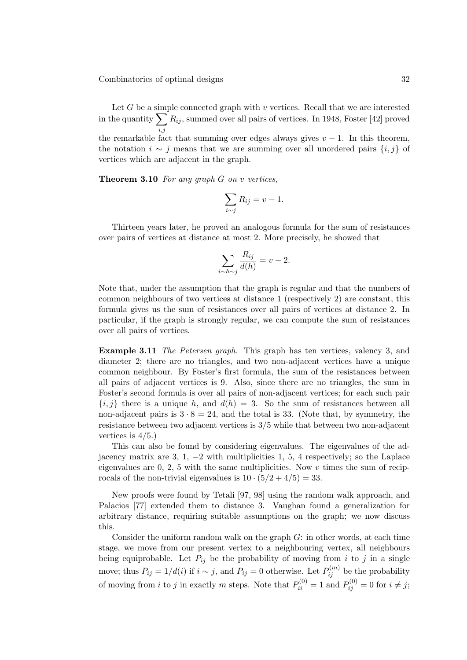Let G be a simple connected graph with  $v$  vertices. Recall that we are interested in the quantity  $\sum$  $_{i,j}$  $R_{ij}$ , summed over all pairs of vertices. In 1948, Foster [42] proved the remarkable fact that summing over edges always gives  $v - 1$ . In this theorem, the notation  $i \sim j$  means that we are summing over all unordered pairs  $\{i, j\}$  of vertices which are adjacent in the graph.

**Theorem 3.10** For any graph  $G$  on  $v$  vertices,

$$
\sum_{i \sim j} R_{ij} = v - 1.
$$

Thirteen years later, he proved an analogous formula for the sum of resistances over pairs of vertices at distance at most 2. More precisely, he showed that

$$
\sum_{i \sim h \sim j} \frac{R_{ij}}{d(h)} = v - 2.
$$

Note that, under the assumption that the graph is regular and that the numbers of common neighbours of two vertices at distance 1 (respectively 2) are constant, this formula gives us the sum of resistances over all pairs of vertices at distance 2. In particular, if the graph is strongly regular, we can compute the sum of resistances over all pairs of vertices.

Example 3.11 The Petersen graph. This graph has ten vertices, valency 3, and diameter 2; there are no triangles, and two non-adjacent vertices have a unique common neighbour. By Foster's first formula, the sum of the resistances between all pairs of adjacent vertices is 9. Also, since there are no triangles, the sum in Foster's second formula is over all pairs of non-adjacent vertices; for each such pair  $\{i, j\}$  there is a unique h, and  $d(h) = 3$ . So the sum of resistances between all non-adjacent pairs is  $3 \cdot 8 = 24$ , and the total is 33. (Note that, by symmetry, the resistance between two adjacent vertices is 3/5 while that between two non-adjacent vertices is  $4/5$ .

This can also be found by considering eigenvalues. The eigenvalues of the adjacency matrix are 3, 1,  $-2$  with multiplicities 1, 5, 4 respectively; so the Laplace eigenvalues are  $0, 2, 5$  with the same multiplicities. Now v times the sum of reciprocals of the non-trivial eigenvalues is  $10 \cdot (5/2 + 4/5) = 33$ .

New proofs were found by Tetali [97, 98] using the random walk approach, and Palacios [77] extended them to distance 3. Vaughan found a generalization for arbitrary distance, requiring suitable assumptions on the graph; we now discuss this.

Consider the uniform random walk on the graph  $G$ : in other words, at each time stage, we move from our present vertex to a neighbouring vertex, all neighbours being equiprobable. Let  $P_{ij}$  be the probability of moving from i to j in a single move; thus  $P_{ij} = 1/d(i)$  if  $i \sim j$ , and  $P_{ij} = 0$  otherwise. Let  $P_{ij}^{(m)}$  be the probability of moving from *i* to *j* in exactly *m* steps. Note that  $P_{ii}^{(0)} = 1$  and  $P_{ij}^{(0)} = 0$  for  $i \neq j$ ;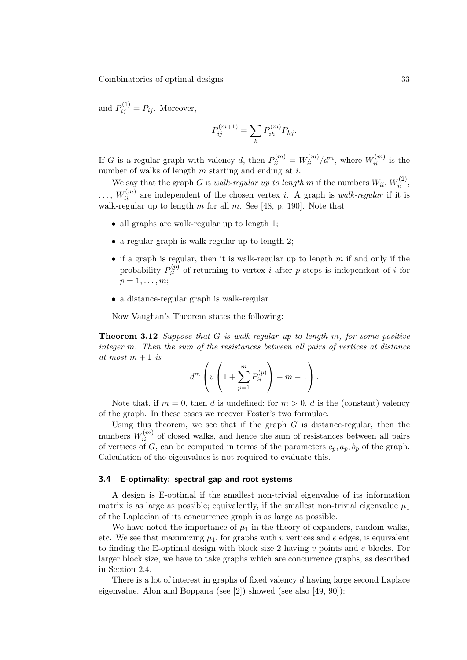and  $P_{ij}^{(1)} = P_{ij}$ . Moreover,

$$
P_{ij}^{(m+1)} = \sum_{h} P_{ih}^{(m)} P_{hj}.
$$

If G is a regular graph with valency d, then  $P_{ii}^{(m)} = W_{ii}^{(m)}/d^m$ , where  $W_{ii}^{(m)}$  is the number of walks of length  $m$  starting and ending at  $i$ .

We say that the graph G is walk-regular up to length m if the numbers  $W_{ii}$ ,  $W_{ii}^{(2)}$ ,  $\dots, W_{ii}^{(m)}$  are independent of the chosen vertex *i*. A graph is *walk-regular* if it is walk-regular up to length m for all m. See [48, p. 190]. Note that

- all graphs are walk-regular up to length 1;
- a regular graph is walk-regular up to length 2;
- if a graph is regular, then it is walk-regular up to length  $m$  if and only if the probability  $P_{ii}^{(p)}$  of returning to vertex i after p steps is independent of i for  $p = 1, \ldots, m$ ;
- a distance-regular graph is walk-regular.

Now Vaughan's Theorem states the following:

**Theorem 3.12** Suppose that  $G$  is walk-regular up to length  $m$ , for some positive integer m. Then the sum of the resistances between all pairs of vertices at distance at most  $m + 1$  is

$$
d^m\left(v\left(1+\sum_{p=1}^m P_{ii}^{(p)}\right)-m-1\right).
$$

Note that, if  $m = 0$ , then d is undefined; for  $m > 0$ , d is the (constant) valency of the graph. In these cases we recover Foster's two formulae.

Using this theorem, we see that if the graph  $G$  is distance-regular, then the numbers  $W_{ii}^{(m)}$  of closed walks, and hence the sum of resistances between all pairs of vertices of G, can be computed in terms of the parameters  $c_p, a_p, b_p$  of the graph. Calculation of the eigenvalues is not required to evaluate this.

#### 3.4 E-optimality: spectral gap and root systems

A design is E-optimal if the smallest non-trivial eigenvalue of its information matrix is as large as possible; equivalently, if the smallest non-trivial eigenvalue  $\mu_1$ of the Laplacian of its concurrence graph is as large as possible.

We have noted the importance of  $\mu_1$  in the theory of expanders, random walks, etc. We see that maximizing  $\mu_1$ , for graphs with v vertices and e edges, is equivalent to finding the E-optimal design with block size 2 having  $v$  points and  $e$  blocks. For larger block size, we have to take graphs which are concurrence graphs, as described in Section 2.4.

There is a lot of interest in graphs of fixed valency d having large second Laplace eigenvalue. Alon and Boppana (see [2]) showed (see also [49, 90]):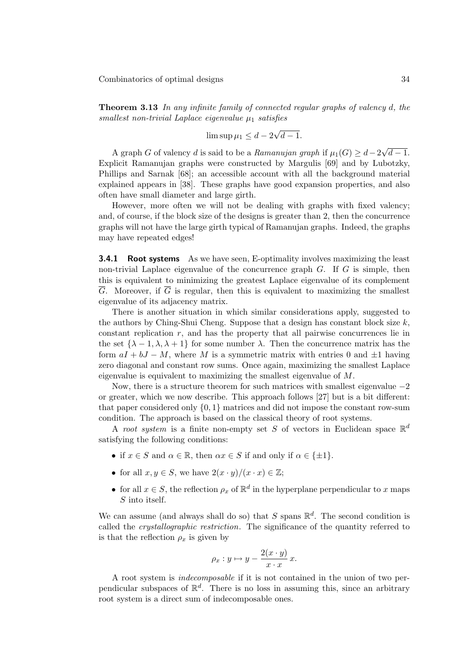Theorem 3.13 In any infinite family of connected regular graphs of valency d, the smallest non-trivial Laplace eigenvalue  $\mu_1$  satisfies

$$
\limsup \mu_1 \le d - 2\sqrt{d - 1}.
$$

A graph G of valency d is said to be a Ramanujan graph if  $\mu_1(G) \geq d-2$ √  $d-1.$ Explicit Ramanujan graphs were constructed by Margulis [69] and by Lubotzky, Phillips and Sarnak [68]; an accessible account with all the background material explained appears in [38]. These graphs have good expansion properties, and also often have small diameter and large girth.

However, more often we will not be dealing with graphs with fixed valency; and, of course, if the block size of the designs is greater than 2, then the concurrence graphs will not have the large girth typical of Ramanujan graphs. Indeed, the graphs may have repeated edges!

**3.4.1 Root systems** As we have seen, E-optimality involves maximizing the least non-trivial Laplace eigenvalue of the concurrence graph  $G$ . If  $G$  is simple, then this is equivalent to minimizing the greatest Laplace eigenvalue of its complement  $\overline{G}$ . Moreover, if  $\overline{G}$  is regular, then this is equivalent to maximizing the smallest eigenvalue of its adjacency matrix.

There is another situation in which similar considerations apply, suggested to the authors by Ching-Shui Cheng. Suppose that a design has constant block size  $k$ . constant replication  $r$ , and has the property that all pairwise concurrences lie in the set  $\{\lambda - 1, \lambda, \lambda + 1\}$  for some number  $\lambda$ . Then the concurrence matrix has the form  $aI + bJ - M$ , where M is a symmetric matrix with entries 0 and  $\pm 1$  having zero diagonal and constant row sums. Once again, maximizing the smallest Laplace eigenvalue is equivalent to maximizing the smallest eigenvalue of M.

Now, there is a structure theorem for such matrices with smallest eigenvalue  $-2$ or greater, which we now describe. This approach follows [27] but is a bit different: that paper considered only  $\{0, 1\}$  matrices and did not impose the constant row-sum condition. The approach is based on the classical theory of root systems.

A root system is a finite non-empty set S of vectors in Euclidean space  $\mathbb{R}^d$ satisfying the following conditions:

- if  $x \in S$  and  $\alpha \in \mathbb{R}$ , then  $\alpha x \in S$  if and only if  $\alpha \in \{\pm 1\}$ .
- for all  $x, y \in S$ , we have  $2(x \cdot y)/(x \cdot x) \in \mathbb{Z}$ ;
- for all  $x \in S$ , the reflection  $\rho_x$  of  $\mathbb{R}^d$  in the hyperplane perpendicular to x maps S into itself.

We can assume (and always shall do so) that S spans  $\mathbb{R}^d$ . The second condition is called the crystallographic restriction. The significance of the quantity referred to is that the reflection  $\rho_x$  is given by

$$
\rho_x: y \mapsto y - \frac{2(x \cdot y)}{x \cdot x} x.
$$

A root system is indecomposable if it is not contained in the union of two perpendicular subspaces of  $\mathbb{R}^d$ . There is no loss in assuming this, since an arbitrary root system is a direct sum of indecomposable ones.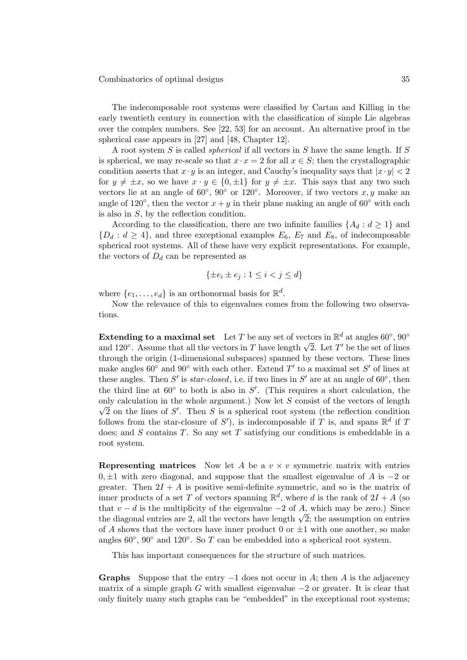The indecomposable root systems were classified by Cartan and Killing in the early twentieth century in connection with the classification of simple Lie algebras over the complex numbers. See [22, 53] for an account. An alternative proof in the spherical case appears in [27] and [48, Chapter 12].

A root system  $S$  is called *spherical* if all vectors in  $S$  have the same length. If  $S$ is spherical, we may re-scale so that  $x \cdot x = 2$  for all  $x \in S$ ; then the crystallographic condition asserts that  $x \cdot y$  is an integer, and Cauchy's inequality says that  $|x \cdot y| < 2$ for  $y \neq \pm x$ , so we have  $x \cdot y \in \{0, \pm 1\}$  for  $y \neq \pm x$ . This says that any two such vectors lie at an angle of  $60^{\circ}$ ,  $90^{\circ}$  or  $120^{\circ}$ . Moreover, if two vectors  $x, y$  make an angle of 120 $\degree$ , then the vector  $x + y$  in their plane making an angle of 60 $\degree$  with each is also in S, by the reflection condition.

According to the classification, there are two infinite families  $\{A_d : d \geq 1\}$  and  ${D_d : d \ge 4}$ , and three exceptional examples  $E_6, E_7$  and  $E_8$ , of indecomposable spherical root systems. All of these have very explicit representations. For example, the vectors of  $D_d$  can be represented as

$$
\{\pm e_i \pm e_j : 1 \le i < j \le d\}
$$

where  $\{e_1, \ldots, e_d\}$  is an orthonormal basis for  $\mathbb{R}^d$ .

Now the relevance of this to eigenvalues comes from the following two observations.

**Extending to a maximal set** Let T be any set of vectors in  $\mathbb{R}^d$  at angles 60°, 90° **Extending to a maximal set** Let T be any set of vectors in  $\mathbb{R}^2$  at angles 60, 90 and 120<sup>°</sup>. Assume that all the vectors in T have length  $\sqrt{2}$ . Let T' be the set of lines through the origin (1-dimensional subspaces) spanned by these vectors. These lines make angles 60 $\degree$  and 90 $\degree$  with each other. Extend T' to a maximal set S' of lines at these angles. Then S' is star-closed, i.e. if two lines in S' are at an angle of  $60^{\circ}$ , then the third line at  $60°$  to both is also in  $S'$ . (This requires a short calculation, the only calculation in the whole argument.) Now let S consist of the vectors of length  $\overline{2}$  on the lines of  $S'$ . Then S is a spherical root system (the reflection condition follows from the star-closure of S'), is indecomposable if T is, and spans  $\mathbb{R}^d$  if T does; and  $S$  contains  $T$ . So any set  $T$  satisfying our conditions is embeddable in a root system.

**Representing matrices** Now let A be a  $v \times v$  symmetric matrix with entries  $0, \pm 1$  with zero diagonal, and suppose that the smallest eigenvalue of A is  $-2$  or greater. Then  $2I + A$  is positive semi-definite symmetric, and so is the matrix of inner products of a set T of vectors spanning  $\mathbb{R}^d$ , where d is the rank of  $2I + A$  (so that  $v - d$  is the multiplicity of the eigenvalue  $-2$  of A, which may be zero.) Since that  $v - a$  is the multiplicity of the eigenvalue  $-2$  or A, which may be zero.) Since<br>the diagonal entries are 2, all the vectors have length  $\sqrt{2}$ ; the assumption on entries of A shows that the vectors have inner product 0 or  $\pm 1$  with one another, so make angles  $60^{\circ}$ ,  $90^{\circ}$  and  $120^{\circ}$ . So T can be embedded into a spherical root system.

This has important consequences for the structure of such matrices.

**Graphs** Suppose that the entry  $-1$  does not occur in A; then A is the adjacency matrix of a simple graph G with smallest eigenvalue  $-2$  or greater. It is clear that only finitely many such graphs can be "embedded" in the exceptional root systems;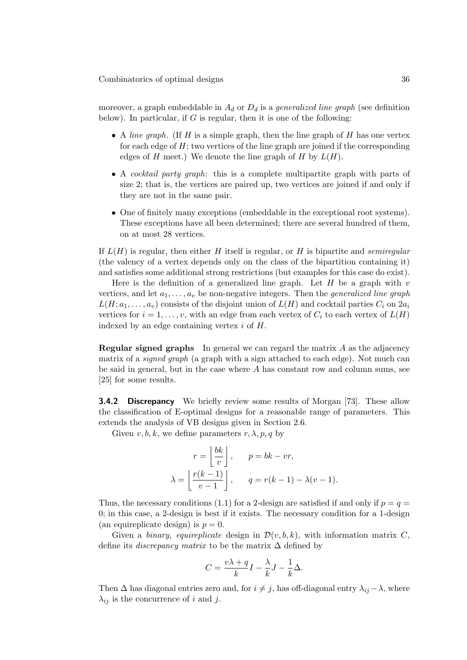moreover, a graph embeddable in  $A_d$  or  $D_d$  is a *generalized line graph* (see definition below). In particular, if  $G$  is regular, then it is one of the following:

- A line graph. (If H is a simple graph, then the line graph of H has one vertex for each edge of  $H$ ; two vertices of the line graph are joined if the corresponding edges of H meet.) We denote the line graph of H by  $L(H)$ .
- A cocktail party graph: this is a complete multipartite graph with parts of size 2; that is, the vertices are paired up, two vertices are joined if and only if they are not in the same pair.
- One of finitely many exceptions (embeddable in the exceptional root systems). These exceptions have all been determined; there are several hundred of them, on at most 28 vertices.

If  $L(H)$  is regular, then either H itself is regular, or H is bipartite and semiregular (the valency of a vertex depends only on the class of the bipartition containing it) and satisfies some additional strong restrictions (but examples for this case do exist).

Here is the definition of a generalized line graph. Let  $H$  be a graph with  $v$ vertices, and let  $a_1, \ldots, a_v$  be non-negative integers. Then the *generalized line graph*  $L(H; a_1, \ldots, a_v)$  consists of the disjoint union of  $L(H)$  and cocktail parties  $C_i$  on  $2a_i$ vertices for  $i = 1, \ldots, v$ , with an edge from each vertex of  $C_i$  to each vertex of  $L(H)$ indexed by an edge containing vertex  $i$  of  $H$ .

**Regular signed graphs** In general we can regard the matrix  $A$  as the adjacency matrix of a *signed graph* (a graph with a sign attached to each edge). Not much can be said in general, but in the case where  $A$  has constant row and column sums, see [25] for some results.

**3.4.2 Discrepancy** We briefly review some results of Morgan [73]. These allow the classification of E-optimal designs for a reasonable range of parameters. This extends the analysis of VB designs given in Section 2.6.

Given  $v, b, k$ , we define parameters  $r, \lambda, p, q$  by

$$
r = \left\lfloor \frac{bk}{v} \right\rfloor, \qquad p = bk - vr,
$$

$$
\lambda = \left\lfloor \frac{r(k-1)}{v-1} \right\rfloor, \qquad q = r(k-1) - \lambda(v-1).
$$

Thus, the necessary conditions (1.1) for a 2-design are satisfied if and only if  $p = q =$ 0; in this case, a 2-design is best if it exists. The necessary condition for a 1-design (an equireplicate design) is  $p = 0$ .

Given a binary, equireplicate design in  $\mathcal{D}(v, b, k)$ , with information matrix C, define its *discrepancy matrix* to be the matrix  $\Delta$  defined by

$$
C = \frac{v\lambda + q}{k}I - \frac{\lambda}{k}J - \frac{1}{k}\Delta.
$$

Then  $\Delta$  has diagonal entries zero and, for  $i \neq j$ , has off-diagonal entry  $\lambda_{ij} - \lambda$ , where  $\lambda_{ij}$  is the concurrence of i and j.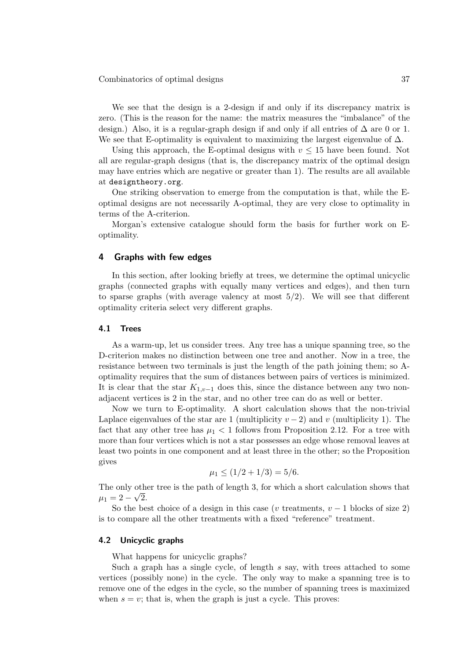We see that the design is a 2-design if and only if its discrepancy matrix is zero. (This is the reason for the name: the matrix measures the "imbalance" of the design.) Also, it is a regular-graph design if and only if all entries of  $\Delta$  are 0 or 1. We see that E-optimality is equivalent to maximizing the largest eigenvalue of  $\Delta$ .

Using this approach, the E-optimal designs with  $v \leq 15$  have been found. Not all are regular-graph designs (that is, the discrepancy matrix of the optimal design may have entries which are negative or greater than 1). The results are all available at designtheory.org.

One striking observation to emerge from the computation is that, while the Eoptimal designs are not necessarily A-optimal, they are very close to optimality in terms of the A-criterion.

Morgan's extensive catalogue should form the basis for further work on Eoptimality.

### 4 Graphs with few edges

In this section, after looking briefly at trees, we determine the optimal unicyclic graphs (connected graphs with equally many vertices and edges), and then turn to sparse graphs (with average valency at most  $5/2$ ). We will see that different optimality criteria select very different graphs.

#### 4.1 Trees

As a warm-up, let us consider trees. Any tree has a unique spanning tree, so the D-criterion makes no distinction between one tree and another. Now in a tree, the resistance between two terminals is just the length of the path joining them; so Aoptimality requires that the sum of distances between pairs of vertices is minimized. It is clear that the star  $K_{1,v-1}$  does this, since the distance between any two nonadjacent vertices is 2 in the star, and no other tree can do as well or better.

Now we turn to E-optimality. A short calculation shows that the non-trivial Laplace eigenvalues of the star are 1 (multiplicity  $v - 2$ ) and v (multiplicity 1). The fact that any other tree has  $\mu_1 < 1$  follows from Proposition 2.12. For a tree with more than four vertices which is not a star possesses an edge whose removal leaves at least two points in one component and at least three in the other; so the Proposition gives

$$
\mu_1 \le (1/2 + 1/3) = 5/6.
$$

The only other tree is the path of length 3, for which a short calculation shows that  $\mu_1 = 2 - \sqrt{2}.$ 

So the best choice of a design in this case (v treatments,  $v - 1$  blocks of size 2) is to compare all the other treatments with a fixed "reference" treatment.

#### 4.2 Unicyclic graphs

What happens for unicyclic graphs?

Such a graph has a single cycle, of length s say, with trees attached to some vertices (possibly none) in the cycle. The only way to make a spanning tree is to remove one of the edges in the cycle, so the number of spanning trees is maximized when  $s = v$ ; that is, when the graph is just a cycle. This proves: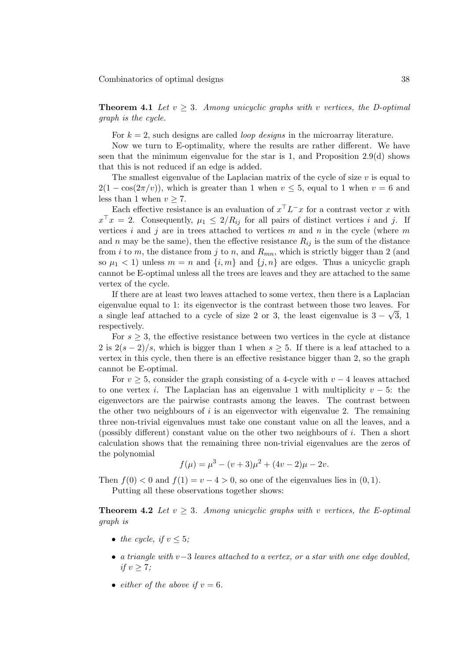**Theorem 4.1** Let  $v \geq 3$ . Among unicyclic graphs with v vertices, the D-optimal graph is the cycle.

For  $k = 2$ , such designs are called *loop designs* in the microarray literature.

Now we turn to E-optimality, where the results are rather different. We have seen that the minimum eigenvalue for the star is 1, and Proposition 2.9(d) shows that this is not reduced if an edge is added.

The smallest eigenvalue of the Laplacian matrix of the cycle of size  $v$  is equal to  $2(1 - \cos(2\pi/v))$ , which is greater than 1 when  $v \le 5$ , equal to 1 when  $v = 6$  and less than 1 when  $v \geq 7$ .

Each effective resistance is an evaluation of  $x<sup>T</sup>L<sup>-</sup>x$  for a contrast vector x with  $x^{\top}x = 2$ . Consequently,  $\mu_1 \leq 2/R_{ij}$  for all pairs of distinct vertices i and j. If vertices i and j are in trees attached to vertices m and n in the cycle (where m and n may be the same), then the effective resistance  $R_{ij}$  is the sum of the distance from i to m, the distance from j to n, and  $R_{mn}$ , which is strictly bigger than 2 (and so  $\mu_1$  < 1) unless  $m = n$  and  $\{i, m\}$  and  $\{j, n\}$  are edges. Thus a unicyclic graph cannot be E-optimal unless all the trees are leaves and they are attached to the same vertex of the cycle.

If there are at least two leaves attached to some vertex, then there is a Laplacian eigenvalue equal to 1: its eigenvector is the contrast between those two leaves. For a single leaf attached to a cycle of size 2 or 3, the least eigenvalue is  $3 - \sqrt{3}$ , 1 respectively.

For  $s \geq 3$ , the effective resistance between two vertices in the cycle at distance 2 is  $2(s-2)/s$ , which is bigger than 1 when  $s \geq 5$ . If there is a leaf attached to a vertex in this cycle, then there is an effective resistance bigger than 2, so the graph cannot be E-optimal.

For  $v \geq 5$ , consider the graph consisting of a 4-cycle with  $v - 4$  leaves attached to one vertex *i*. The Laplacian has an eigenvalue 1 with multiplicity  $v - 5$ : the eigenvectors are the pairwise contrasts among the leaves. The contrast between the other two neighbours of  $i$  is an eigenvector with eigenvalue 2. The remaining three non-trivial eigenvalues must take one constant value on all the leaves, and a (possibly different) constant value on the other two neighbours of i. Then a short calculation shows that the remaining three non-trivial eigenvalues are the zeros of the polynomial

$$
f(\mu) = \mu^{3} - (v+3)\mu^{2} + (4v - 2)\mu - 2v.
$$

Then  $f(0) < 0$  and  $f(1) = v - 4 > 0$ , so one of the eigenvalues lies in  $(0, 1)$ .

Putting all these observations together shows:

**Theorem 4.2** Let  $v \geq 3$ . Among unicyclic graphs with v vertices, the E-optimal graph is

- the cycle, if  $v \leq 5$ ;
- a triangle with v−3 leaves attached to a vertex, or a star with one edge doubled, if  $v \geq 7$ ;
- either of the above if  $v = 6$ .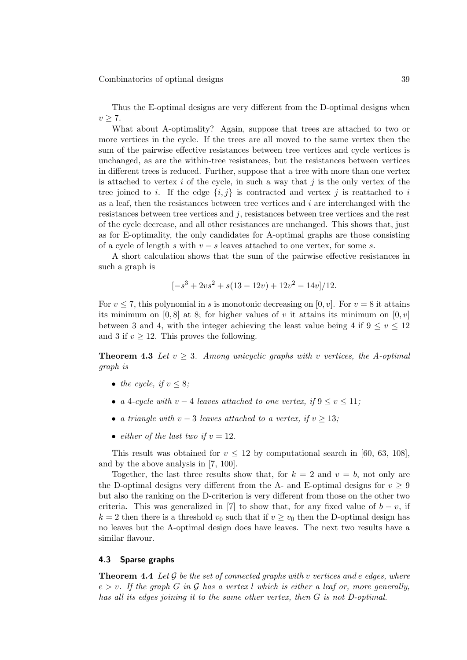Thus the E-optimal designs are very different from the D-optimal designs when  $v > 7$ .

What about A-optimality? Again, suppose that trees are attached to two or more vertices in the cycle. If the trees are all moved to the same vertex then the sum of the pairwise effective resistances between tree vertices and cycle vertices is unchanged, as are the within-tree resistances, but the resistances between vertices in different trees is reduced. Further, suppose that a tree with more than one vertex is attached to vertex i of the cycle, in such a way that j is the only vertex of the tree joined to i. If the edge  $\{i, j\}$  is contracted and vertex j is reattached to i as a leaf, then the resistances between tree vertices and  $i$  are interchanged with the resistances between tree vertices and j, resistances between tree vertices and the rest of the cycle decrease, and all other resistances are unchanged. This shows that, just as for E-optimality, the only candidates for A-optimal graphs are those consisting of a cycle of length s with  $v - s$  leaves attached to one vertex, for some s.

A short calculation shows that the sum of the pairwise effective resistances in such a graph is

$$
[-s3 + 2vs2 + s(13 – 12v) + 12v2 – 14v]/12.
$$

For  $v \le 7$ , this polynomial in s is monotonic decreasing on [0, v]. For  $v = 8$  it attains its minimum on [0,8] at 8; for higher values of v it attains its minimum on [0, v] between 3 and 4, with the integer achieving the least value being 4 if  $9 \le v \le 12$ and 3 if  $v \ge 12$ . This proves the following.

**Theorem 4.3** Let  $v \geq 3$ . Among unicyclic graphs with v vertices, the A-optimal graph is

- the cycle, if  $v \leq 8$ ;
- a 4-cycle with  $v-4$  leaves attached to one vertex, if  $9 \le v \le 11$ ;
- a triangle with  $v-3$  leaves attached to a vertex, if  $v \geq 13$ ;
- either of the last two if  $v = 12$ .

This result was obtained for  $v \le 12$  by computational search in [60, 63, 108], and by the above analysis in [7, 100].

Together, the last three results show that, for  $k = 2$  and  $v = b$ , not only are the D-optimal designs very different from the A- and E-optimal designs for  $v > 9$ but also the ranking on the D-criterion is very different from those on the other two criteria. This was generalized in [7] to show that, for any fixed value of  $b - v$ , if  $k = 2$  then there is a threshold  $v_0$  such that if  $v \ge v_0$  then the D-optimal design has no leaves but the A-optimal design does have leaves. The next two results have a similar flavour.

#### 4.3 Sparse graphs

**Theorem 4.4** Let  $\mathcal G$  be the set of connected graphs with v vertices and e edges, where  $e > v$ . If the graph G in G has a vertex l which is either a leaf or, more generally, has all its edges joining it to the same other vertex, then G is not D-optimal.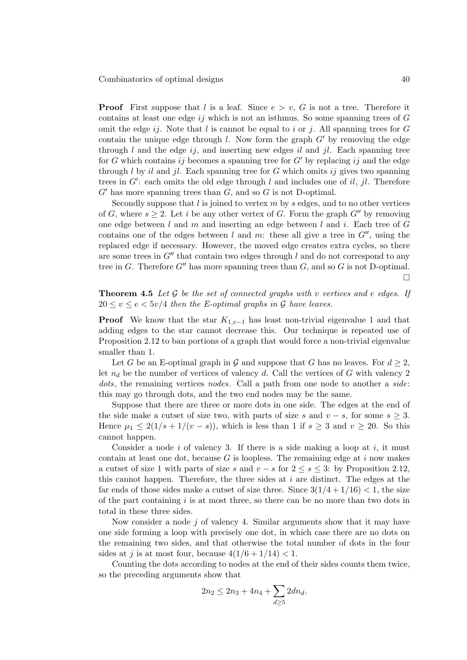**Proof** First suppose that l is a leaf. Since  $e > v$ , G is not a tree. Therefore it contains at least one edge  $ij$  which is not an isthmus. So some spanning trees of G omit the edge ij. Note that l is cannot be equal to i or j. All spanning trees for  $G$ contain the unique edge through  $l$ . Now form the graph  $G'$  by removing the edge through  $l$  and the edge  $ij$ , and inserting new edges  $il$  and  $jl$ . Each spanning tree for G which contains ij becomes a spanning tree for  $G'$  by replacing ij and the edge through l by il and jl. Each spanning tree for G which omits ij gives two spanning trees in  $G'$ : each omits the old edge through l and includes one of il, jl. Therefore  $G'$  has more spanning trees than  $G$ , and so  $G$  is not D-optimal.

Secondly suppose that  $l$  is joined to vertex  $m$  by  $s$  edges, and to no other vertices of G, where  $s \geq 2$ . Let i be any other vertex of G. Form the graph  $G''$  by removing one edge between  $l$  and  $m$  and inserting an edge between  $l$  and  $i$ . Each tree of  $G$ contains one of the edges between l and m: these all give a tree in  $G''$ , using the replaced edge if necessary. However, the moved edge creates extra cycles, so there are some trees in  $G''$  that contain two edges through l and do not correspond to any tree in G. Therefore  $G''$  has more spanning trees than  $G$ , and so G is not D-optimal.  $\Box$ 

**Theorem 4.5** Let  $\mathcal G$  be the set of connected graphs with v vertices and e edges. If  $20 \le v \le e \le 5v/4$  then the E-optimal graphs in G have leaves.

**Proof** We know that the star  $K_{1,v-1}$  has least non-trivial eigenvalue 1 and that adding edges to the star cannot decrease this. Our technique is repeated use of Proposition 2.12 to ban portions of a graph that would force a non-trivial eigenvalue smaller than 1.

Let G be an E-optimal graph in G and suppose that G has no leaves. For  $d \geq 2$ , let  $n_d$  be the number of vertices of valency d. Call the vertices of G with valency 2 dots, the remaining vertices *nodes*. Call a path from one node to another a *side*: this may go through dots, and the two end nodes may be the same.

Suppose that there are three or more dots in one side. The edges at the end of the side make a cutset of size two, with parts of size s and  $v - s$ , for some  $s \geq 3$ . Hence  $\mu_1 \leq 2(1/s + 1/(v - s))$ , which is less than 1 if  $s \geq 3$  and  $v \geq 20$ . So this cannot happen.

Consider a node i of valency 3. If there is a side making a loop at i, it must contain at least one dot, because  $G$  is loopless. The remaining edge at  $i$  now makes a cutset of size 1 with parts of size s and  $v - s$  for  $2 \leq s \leq 3$ : by Proposition 2.12, this cannot happen. Therefore, the three sides at  $i$  are distinct. The edges at the far ends of those sides make a cutset of size three. Since  $3(1/4 + 1/16) < 1$ , the size of the part containing  $i$  is at most three, so there can be no more than two dots in total in these three sides.

Now consider a node  $j$  of valency 4. Similar arguments show that it may have one side forming a loop with precisely one dot, in which case there are no dots on the remaining two sides, and that otherwise the total number of dots in the four sides at j is at most four, because  $4(1/6 + 1/14) < 1$ .

Counting the dots according to nodes at the end of their sides counts them twice, so the preceding arguments show that

$$
2n_2 \le 2n_3 + 4n_4 + \sum_{d \ge 5} 2dn_d.
$$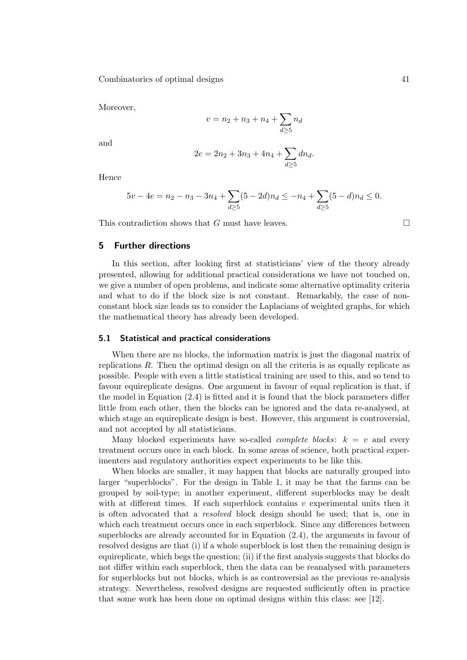Moreover,

$$
v = n_2 + n_3 + n_4 + \sum_{d \ge 5} n_d
$$

and

$$
2e = 2n_2 + 3n_3 + 4n_4 + \sum_{d \ge 5} dn_d.
$$

Hence

$$
5v - 4e = n_2 - n_3 - 3n_4 + \sum_{d \ge 5} (5 - 2d)n_d \le -n_4 + \sum_{d \ge 5} (5 - d)n_d \le 0.
$$

This contradiction shows that G must have leaves.  $\Box$ 

### 5 Further directions

In this section, after looking first at statisticians' view of the theory already presented, allowing for additional practical considerations we have not touched on, we give a number of open problems, and indicate some alternative optimality criteria and what to do if the block size is not constant. Remarkably, the case of nonconstant block size leads us to consider the Laplacians of weighted graphs, for which the mathematical theory has already been developed.

### 5.1 Statistical and practical considerations

When there are no blocks, the information matrix is just the diagonal matrix of replications  $R$ . Then the optimal design on all the criteria is as equally replicate as possible. People with even a little statistical training are used to this, and so tend to favour equireplicate designs. One argument in favour of equal replication is that, if the model in Equation (2.4) is fitted and it is found that the block parameters differ little from each other, then the blocks can be ignored and the data re-analysed, at which stage an equireplicate design is best. However, this argument is controversial, and not accepted by all statisticians.

Many blocked experiments have so-called *complete blocks*:  $k = v$  and every treatment occurs once in each block. In some areas of science, both practical experimenters and regulatory authorities expect experiments to be like this.

When blocks are smaller, it may happen that blocks are naturally grouped into larger "superblocks". For the design in Table 1, it may be that the farms can be grouped by soil-type; in another experiment, different superblocks may be dealt with at different times. If each superblock contains  $v$  experimental units then it is often advocated that a resolved block design should be used; that is, one in which each treatment occurs once in each superblock. Since any differences between superblocks are already accounted for in Equation (2.4), the arguments in favour of resolved designs are that (i) if a whole superblock is lost then the remaining design is equireplicate, which begs the question; (ii) if the first analysis suggests that blocks do not differ within each superblock, then the data can be reanalysed with parameters for superblocks but not blocks, which is as controversial as the previous re-analysis strategy. Nevertheless, resolved designs are requested sufficiently often in practice that some work has been done on optimal designs within this class: see [12].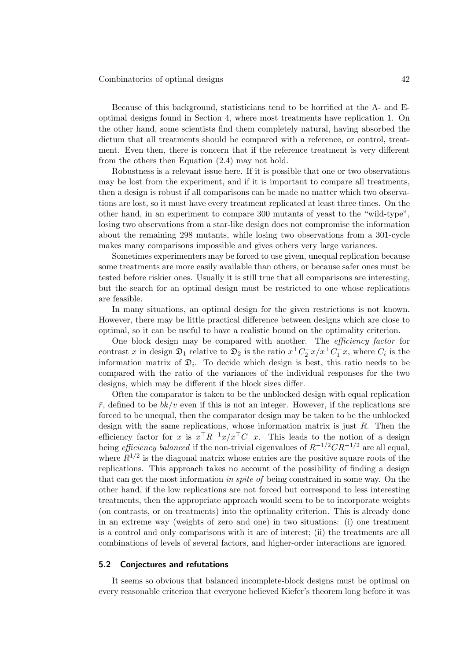Because of this background, statisticians tend to be horrified at the A- and Eoptimal designs found in Section 4, where most treatments have replication 1. On the other hand, some scientists find them completely natural, having absorbed the dictum that all treatments should be compared with a reference, or control, treatment. Even then, there is concern that if the reference treatment is very different from the others then Equation (2.4) may not hold.

Robustness is a relevant issue here. If it is possible that one or two observations may be lost from the experiment, and if it is important to compare all treatments, then a design is robust if all comparisons can be made no matter which two observations are lost, so it must have every treatment replicated at least three times. On the other hand, in an experiment to compare 300 mutants of yeast to the "wild-type", losing two observations from a star-like design does not compromise the information about the remaining 298 mutants, while losing two observations from a 301-cycle makes many comparisons impossible and gives others very large variances.

Sometimes experimenters may be forced to use given, unequal replication because some treatments are more easily available than others, or because safer ones must be tested before riskier ones. Usually it is still true that all comparisons are interesting, but the search for an optimal design must be restricted to one whose replications are feasible.

In many situations, an optimal design for the given restrictions is not known. However, there may be little practical difference between designs which are close to optimal, so it can be useful to have a realistic bound on the optimality criterion.

One block design may be compared with another. The *efficiency factor* for contrast x in design  $\mathfrak{D}_1$  relative to  $\mathfrak{D}_2$  is the ratio  $x^\top C_2^- x/x^\top C_1^- x$ , where  $C_i$  is the information matrix of  $\mathfrak{D}_i$ . To decide which design is best, this ratio needs to be compared with the ratio of the variances of the individual responses for the two designs, which may be different if the block sizes differ.

Often the comparator is taken to be the unblocked design with equal replication  $\bar{r}$ , defined to be  $bk/v$  even if this is not an integer. However, if the replications are forced to be unequal, then the comparator design may be taken to be the unblocked design with the same replications, whose information matrix is just  $R$ . Then the efficiency factor for x is  $x^{\top}R^{-1}x/x^{\top}C^{-}x$ . This leads to the notion of a design being efficiency balanced if the non-trivial eigenvalues of  $R^{-1/2}CR^{-1/2}$  are all equal, where  $R^{1/2}$  is the diagonal matrix whose entries are the positive square roots of the replications. This approach takes no account of the possibility of finding a design that can get the most information in spite of being constrained in some way. On the other hand, if the low replications are not forced but correspond to less interesting treatments, then the appropriate approach would seem to be to incorporate weights (on contrasts, or on treatments) into the optimality criterion. This is already done in an extreme way (weights of zero and one) in two situations: (i) one treatment is a control and only comparisons with it are of interest; (ii) the treatments are all combinations of levels of several factors, and higher-order interactions are ignored.

#### 5.2 Conjectures and refutations

It seems so obvious that balanced incomplete-block designs must be optimal on every reasonable criterion that everyone believed Kiefer's theorem long before it was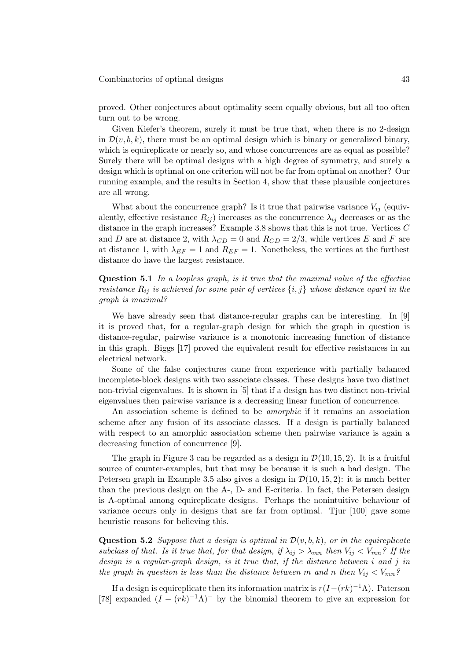proved. Other conjectures about optimality seem equally obvious, but all too often turn out to be wrong.

Given Kiefer's theorem, surely it must be true that, when there is no 2-design in  $\mathcal{D}(v, b, k)$ , there must be an optimal design which is binary or generalized binary, which is equireplicate or nearly so, and whose concurrences are as equal as possible? Surely there will be optimal designs with a high degree of symmetry, and surely a design which is optimal on one criterion will not be far from optimal on another? Our running example, and the results in Section 4, show that these plausible conjectures are all wrong.

What about the concurrence graph? Is it true that pairwise variance  $V_{ij}$  (equivalently, effective resistance  $R_{ij}$  increases as the concurrence  $\lambda_{ij}$  decreases or as the distance in the graph increases? Example 3.8 shows that this is not true. Vertices  $C$ and D are at distance 2, with  $\lambda_{CD} = 0$  and  $R_{CD} = 2/3$ , while vertices E and F are at distance 1, with  $\lambda_{EF} = 1$  and  $R_{EF} = 1$ . Nonetheless, the vertices at the furthest distance do have the largest resistance.

Question 5.1 In a loopless graph, is it true that the maximal value of the effective resistance  $R_{ij}$  is achieved for some pair of vertices  $\{i, j\}$  whose distance apart in the graph is maximal?

We have already seen that distance-regular graphs can be interesting. In [9] it is proved that, for a regular-graph design for which the graph in question is distance-regular, pairwise variance is a monotonic increasing function of distance in this graph. Biggs [17] proved the equivalent result for effective resistances in an electrical network.

Some of the false conjectures came from experience with partially balanced incomplete-block designs with two associate classes. These designs have two distinct non-trivial eigenvalues. It is shown in [5] that if a design has two distinct non-trivial eigenvalues then pairwise variance is a decreasing linear function of concurrence.

An association scheme is defined to be amorphic if it remains an association scheme after any fusion of its associate classes. If a design is partially balanced with respect to an amorphic association scheme then pairwise variance is again a decreasing function of concurrence [9].

The graph in Figure 3 can be regarded as a design in  $\mathcal{D}(10, 15, 2)$ . It is a fruitful source of counter-examples, but that may be because it is such a bad design. The Petersen graph in Example 3.5 also gives a design in  $\mathcal{D}(10, 15, 2)$ : it is much better than the previous design on the A-, D- and E-criteria. In fact, the Petersen design is A-optimal among equireplicate designs. Perhaps the nonintuitive behaviour of variance occurs only in designs that are far from optimal. Tjur [100] gave some heuristic reasons for believing this.

**Question 5.2** Suppose that a design is optimal in  $\mathcal{D}(v, b, k)$ , or in the equireplicate subclass of that. Is it true that, for that design, if  $\lambda_{ij} > \lambda_{mn}$  then  $V_{ij} < V_{mn}$ ? If the design is a regular-graph design, is it true that, if the distance between i and j in the graph in question is less than the distance between m and n then  $V_{ii} < V_{mn}$ ?

If a design is equireplicate then its information matrix is  $r(I-(rk)^{-1}\Lambda)$ . Paterson [78] expanded  $(I - (rk)^{-1}\Lambda)^{-}$  by the binomial theorem to give an expression for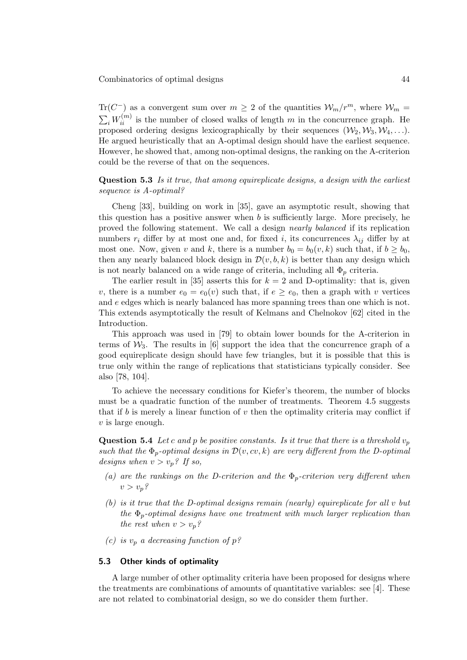Tr( $C^-$ ) as a convergent sum over  $m \geq 2$  of the quantities  $\mathcal{W}_m/r^m$ , where  $\mathcal{W}_m =$  $\sum_i W_{ii}^{(m)}$  is the number of closed walks of length m in the concurrence graph. He proposed ordering designs lexicographically by their sequences  $(\mathcal{W}_2, \mathcal{W}_3, \mathcal{W}_4, \ldots)$ . He argued heuristically that an A-optimal design should have the earliest sequence. However, he showed that, among non-optimal designs, the ranking on the A-criterion could be the reverse of that on the sequences.

# Question 5.3 Is it true, that among equireplicate designs, a design with the earliest sequence is A-optimal?

Cheng [33], building on work in [35], gave an asymptotic result, showing that this question has a positive answer when  $b$  is sufficiently large. More precisely, he proved the following statement. We call a design nearly balanced if its replication numbers  $r_i$  differ by at most one and, for fixed i, its concurrences  $\lambda_{ij}$  differ by at most one. Now, given v and k, there is a number  $b_0 = b_0(v, k)$  such that, if  $b \ge b_0$ , then any nearly balanced block design in  $\mathcal{D}(v, b, k)$  is better than any design which is not nearly balanced on a wide range of criteria, including all  $\Phi_p$  criteria.

The earlier result in [35] asserts this for  $k = 2$  and D-optimality: that is, given v, there is a number  $e_0 = e_0(v)$  such that, if  $e \ge e_0$ , then a graph with v vertices and e edges which is nearly balanced has more spanning trees than one which is not. This extends asymptotically the result of Kelmans and Chelnokov [62] cited in the Introduction.

This approach was used in [79] to obtain lower bounds for the A-criterion in terms of  $\mathcal{W}_3$ . The results in [6] support the idea that the concurrence graph of a good equireplicate design should have few triangles, but it is possible that this is true only within the range of replications that statisticians typically consider. See also [78, 104].

To achieve the necessary conditions for Kiefer's theorem, the number of blocks must be a quadratic function of the number of treatments. Theorem 4.5 suggests that if b is merely a linear function of  $v$  then the optimality criteria may conflict if  $v$  is large enough.

**Question 5.4** Let c and p be positive constants. Is it true that there is a threshold  $v_p$ such that the  $\Phi_p$ -optimal designs in  $\mathcal{D}(v, cv, k)$  are very different from the D-optimal designs when  $v > v_p$ ? If so,

- (a) are the rankings on the D-criterion and the  $\Phi_p$ -criterion very different when  $v > v_n$ ?
- (b) is it true that the D-optimal designs remain (nearly) equireplicate for all v but the  $\Phi_p$ -optimal designs have one treatment with much larger replication than the rest when  $v > v_p$ ?
- (c) is  $v_p$  a decreasing function of  $p$ ?

# 5.3 Other kinds of optimality

A large number of other optimality criteria have been proposed for designs where the treatments are combinations of amounts of quantitative variables: see [4]. These are not related to combinatorial design, so we do consider them further.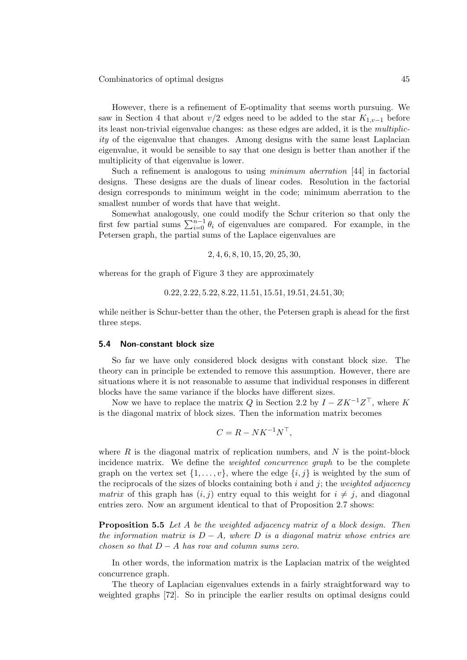However, there is a refinement of E-optimality that seems worth pursuing. We saw in Section 4 that about v/2 edges need to be added to the star  $K_{1,v-1}$  before its least non-trivial eigenvalue changes: as these edges are added, it is the multiplicity of the eigenvalue that changes. Among designs with the same least Laplacian eigenvalue, it would be sensible to say that one design is better than another if the multiplicity of that eigenvalue is lower.

Such a refinement is analogous to using *minimum aberration* [44] in factorial designs. These designs are the duals of linear codes. Resolution in the factorial design corresponds to minimum weight in the code; minimum aberration to the smallest number of words that have that weight.

Somewhat analogously, one could modify the Schur criterion so that only the first few partial sums  $\sum_{i=0}^{n-1} \theta_i$  of eigenvalues are compared. For example, in the Petersen graph, the partial sums of the Laplace eigenvalues are

$$
2, 4, 6, 8, 10, 15, 20, 25, 30,
$$

whereas for the graph of Figure 3 they are approximately

0.22, 2.22, 5.22, 8.22, 11.51, 15.51, 19.51, 24.51, 30;

while neither is Schur-better than the other, the Petersen graph is ahead for the first three steps.

#### 5.4 Non-constant block size

So far we have only considered block designs with constant block size. The theory can in principle be extended to remove this assumption. However, there are situations where it is not reasonable to assume that individual responses in different blocks have the same variance if the blocks have different sizes.

Now we have to replace the matrix Q in Section 2.2 by  $I - ZK^{-1}Z^{\top}$ , where K is the diagonal matrix of block sizes. Then the information matrix becomes

$$
C = R - NK^{-1}N^{\top},
$$

where  $R$  is the diagonal matrix of replication numbers, and  $N$  is the point-block incidence matrix. We define the *weighted concurrence graph* to be the complete graph on the vertex set  $\{1, \ldots, v\}$ , where the edge  $\{i, j\}$  is weighted by the sum of the reciprocals of the sizes of blocks containing both  $i$  and  $j$ ; the weighted adjacency matrix of this graph has  $(i, j)$  entry equal to this weight for  $i \neq j$ , and diagonal entries zero. Now an argument identical to that of Proposition 2.7 shows:

**Proposition 5.5** Let A be the weighted adjacency matrix of a block design. Then the information matrix is  $D - A$ , where D is a diagonal matrix whose entries are chosen so that  $D - A$  has row and column sums zero.

In other words, the information matrix is the Laplacian matrix of the weighted concurrence graph.

The theory of Laplacian eigenvalues extends in a fairly straightforward way to weighted graphs [72]. So in principle the earlier results on optimal designs could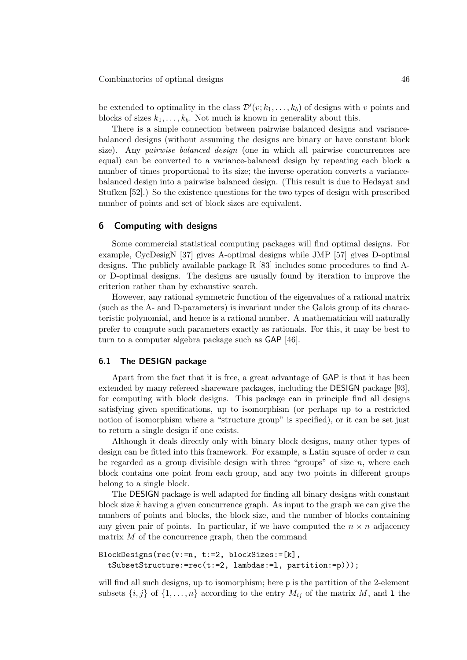be extended to optimality in the class  $\mathcal{D}'(v; k_1, \ldots, k_b)$  of designs with v points and blocks of sizes  $k_1, \ldots, k_b$ . Not much is known in generality about this.

There is a simple connection between pairwise balanced designs and variancebalanced designs (without assuming the designs are binary or have constant block size). Any pairwise balanced design (one in which all pairwise concurrences are equal) can be converted to a variance-balanced design by repeating each block a number of times proportional to its size; the inverse operation converts a variancebalanced design into a pairwise balanced design. (This result is due to Hedayat and Stufken [52].) So the existence questions for the two types of design with prescribed number of points and set of block sizes are equivalent.

### 6 Computing with designs

Some commercial statistical computing packages will find optimal designs. For example, CycDesigN [37] gives A-optimal designs while JMP [57] gives D-optimal designs. The publicly available package R [83] includes some procedures to find Aor D-optimal designs. The designs are usually found by iteration to improve the criterion rather than by exhaustive search.

However, any rational symmetric function of the eigenvalues of a rational matrix (such as the A- and D-parameters) is invariant under the Galois group of its characteristic polynomial, and hence is a rational number. A mathematician will naturally prefer to compute such parameters exactly as rationals. For this, it may be best to turn to a computer algebra package such as GAP [46].

## 6.1 The DESIGN package

Apart from the fact that it is free, a great advantage of GAP is that it has been extended by many refereed shareware packages, including the DESIGN package [93], for computing with block designs. This package can in principle find all designs satisfying given specifications, up to isomorphism (or perhaps up to a restricted notion of isomorphism where a "structure group" is specified), or it can be set just to return a single design if one exists.

Although it deals directly only with binary block designs, many other types of design can be fitted into this framework. For example, a Latin square of order  $n$  can be regarded as a group divisible design with three "groups" of size  $n$ , where each block contains one point from each group, and any two points in different groups belong to a single block.

The DESIGN package is well adapted for finding all binary designs with constant block size  $k$  having a given concurrence graph. As input to the graph we can give the numbers of points and blocks, the block size, and the number of blocks containing any given pair of points. In particular, if we have computed the  $n \times n$  adjacency matrix  $M$  of the concurrence graph, then the command

```
BlockDesigns(rec(v:=n, t:=2, blockSizes:=[k],
 tSubsetStructure:=rec(t:=2, lambdas:=l, partition:=p)));
```
will find all such designs, up to isomorphism; here p is the partition of the 2-element subsets  $\{i, j\}$  of  $\{1, \ldots, n\}$  according to the entry  $M_{ij}$  of the matrix M, and 1 the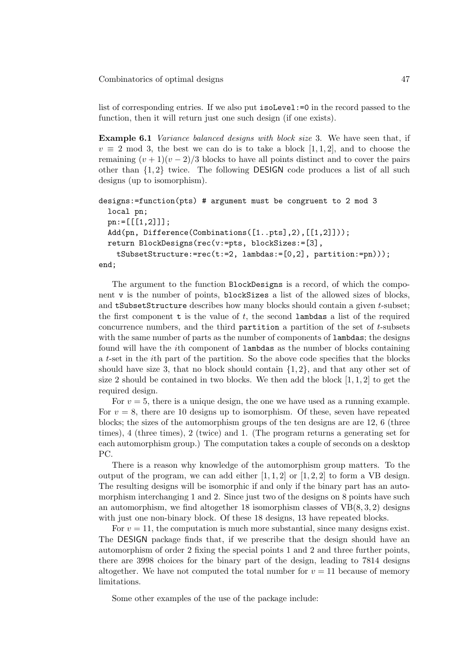list of corresponding entries. If we also put isoLevel:=0 in the record passed to the function, then it will return just one such design (if one exists).

**Example 6.1** Variance balanced designs with block size 3. We have seen that, if  $v \equiv 2 \mod 3$ , the best we can do is to take a block [1, 1, 2], and to choose the remaining  $(v + 1)(v - 2)/3$  blocks to have all points distinct and to cover the pairs other than  $\{1, 2\}$  twice. The following DESIGN code produces a list of all such designs (up to isomorphism).

```
designs:=function(pts) # argument must be congruent to 2 mod 3
  local pn;
  pn := [[[1,2]]];Add(pn, Difference(Combinations([1..pts],2),[[1,2]]));
  return BlockDesigns(rec(v:=pts, blockSizes:=[3],
    tSubsetStructure:=rec(t:=2, lambdas:=[0,2], partition:=pn)));
end;
```
The argument to the function BlockDesigns is a record, of which the component v is the number of points, blockSizes a list of the allowed sizes of blocks, and tSubsetStructure describes how many blocks should contain a given t-subset; the first component  $t$  is the value of t, the second lambdas a list of the required concurrence numbers, and the third partition a partition of the set of t-subsets with the same number of parts as the number of components of lambdas; the designs found will have the ith component of lambdas as the number of blocks containing a t-set in the ith part of the partition. So the above code specifies that the blocks should have size 3, that no block should contain  $\{1, 2\}$ , and that any other set of size 2 should be contained in two blocks. We then add the block  $[1, 1, 2]$  to get the required design.

For  $v = 5$ , there is a unique design, the one we have used as a running example. For  $v = 8$ , there are 10 designs up to isomorphism. Of these, seven have repeated blocks; the sizes of the automorphism groups of the ten designs are are 12, 6 (three times), 4 (three times), 2 (twice) and 1. (The program returns a generating set for each automorphism group.) The computation takes a couple of seconds on a desktop PC.

There is a reason why knowledge of the automorphism group matters. To the output of the program, we can add either  $[1, 1, 2]$  or  $[1, 2, 2]$  to form a VB design. The resulting designs will be isomorphic if and only if the binary part has an automorphism interchanging 1 and 2. Since just two of the designs on 8 points have such an automorphism, we find altogether 18 isomorphism classes of  $VB(8, 3, 2)$  designs with just one non-binary block. Of these 18 designs, 13 have repeated blocks.

For  $v = 11$ , the computation is much more substantial, since many designs exist. The DESIGN package finds that, if we prescribe that the design should have an automorphism of order 2 fixing the special points 1 and 2 and three further points, there are 3998 choices for the binary part of the design, leading to 7814 designs altogether. We have not computed the total number for  $v = 11$  because of memory limitations.

Some other examples of the use of the package include: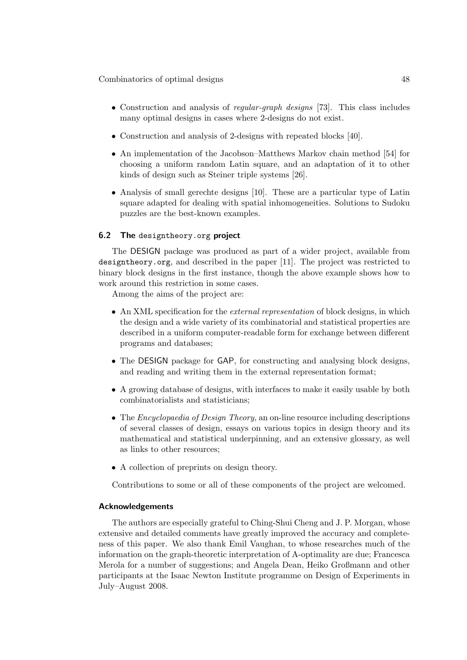- Construction and analysis of *regular-graph designs* [73]. This class includes many optimal designs in cases where 2-designs do not exist.
- Construction and analysis of 2-designs with repeated blocks [40].
- An implementation of the Jacobson–Matthews Markov chain method [54] for choosing a uniform random Latin square, and an adaptation of it to other kinds of design such as Steiner triple systems [26].
- Analysis of small gerechte designs [10]. These are a particular type of Latin square adapted for dealing with spatial inhomogeneities. Solutions to Sudoku puzzles are the best-known examples.

## 6.2 The designtheory.org project

The DESIGN package was produced as part of a wider project, available from designtheory.org, and described in the paper [11]. The project was restricted to binary block designs in the first instance, though the above example shows how to work around this restriction in some cases.

Among the aims of the project are:

- An XML specification for the *external representation* of block designs, in which the design and a wide variety of its combinatorial and statistical properties are described in a uniform computer-readable form for exchange between different programs and databases;
- The DESIGN package for GAP, for constructing and analysing block designs, and reading and writing them in the external representation format;
- A growing database of designs, with interfaces to make it easily usable by both combinatorialists and statisticians;
- The *Encyclopaedia of Design Theory*, an on-line resource including descriptions of several classes of design, essays on various topics in design theory and its mathematical and statistical underpinning, and an extensive glossary, as well as links to other resources;
- A collection of preprints on design theory.

Contributions to some or all of these components of the project are welcomed.

#### Acknowledgements

The authors are especially grateful to Ching-Shui Cheng and J. P. Morgan, whose extensive and detailed comments have greatly improved the accuracy and completeness of this paper. We also thank Emil Vaughan, to whose researches much of the information on the graph-theoretic interpretation of A-optimality are due; Francesca Merola for a number of suggestions; and Angela Dean, Heiko Großmann and other participants at the Isaac Newton Institute programme on Design of Experiments in July–August 2008.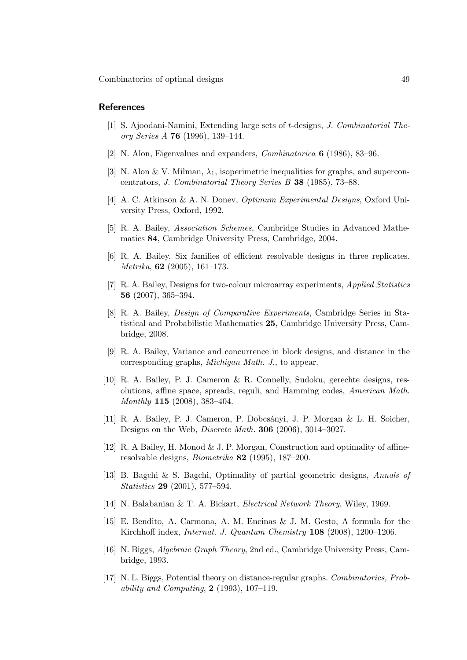## References

- [1] S. Ajoodani-Namini, Extending large sets of t-designs, J. Combinatorial Theory Series A 76 (1996), 139–144.
- [2] N. Alon, Eigenvalues and expanders, Combinatorica 6 (1986), 83–96.
- [3] N. Alon & V. Milman,  $\lambda_1$ , isoperimetric inequalities for graphs, and superconcentrators, J. Combinatorial Theory Series B 38 (1985), 73–88.
- [4] A. C. Atkinson & A. N. Donev, Optimum Experimental Designs, Oxford University Press, Oxford, 1992.
- [5] R. A. Bailey, Association Schemes, Cambridge Studies in Advanced Mathematics 84, Cambridge University Press, Cambridge, 2004.
- [6] R. A. Bailey, Six families of efficient resolvable designs in three replicates. Metrika, 62 (2005), 161–173.
- [7] R. A. Bailey, Designs for two-colour microarray experiments, Applied Statistics 56 (2007), 365–394.
- [8] R. A. Bailey, Design of Comparative Experiments, Cambridge Series in Statistical and Probabilistic Mathematics 25, Cambridge University Press, Cambridge, 2008.
- [9] R. A. Bailey, Variance and concurrence in block designs, and distance in the corresponding graphs, Michigan Math. J., to appear.
- [10] R. A. Bailey, P. J. Cameron & R. Connelly, Sudoku, gerechte designs, resolutions, affine space, spreads, reguli, and Hamming codes, American Math. Monthly 115 (2008), 383–404.
- [11] R. A. Bailey, P. J. Cameron, P. Dobcs´anyi, J. P. Morgan & L. H. Soicher, Designs on the Web, Discrete Math. 306 (2006), 3014–3027.
- [12] R. A Bailey, H. Monod & J. P. Morgan, Construction and optimality of affineresolvable designs, Biometrika 82 (1995), 187–200.
- [13] B. Bagchi & S. Bagchi, Optimality of partial geometric designs, Annals of Statistics 29 (2001), 577–594.
- [14] N. Balabanian & T. A. Bickart, Electrical Network Theory, Wiley, 1969.
- [15] E. Bendito, A. Carmona, A. M. Encinas & J. M. Gesto, A formula for the Kirchhoff index, Internat. J. Quantum Chemistry 108 (2008), 1200–1206.
- [16] N. Biggs, Algebraic Graph Theory, 2nd ed., Cambridge University Press, Cambridge, 1993.
- [17] N. L. Biggs, Potential theory on distance-regular graphs. Combinatorics, Probability and Computing,  $2(1993)$ , 107-119.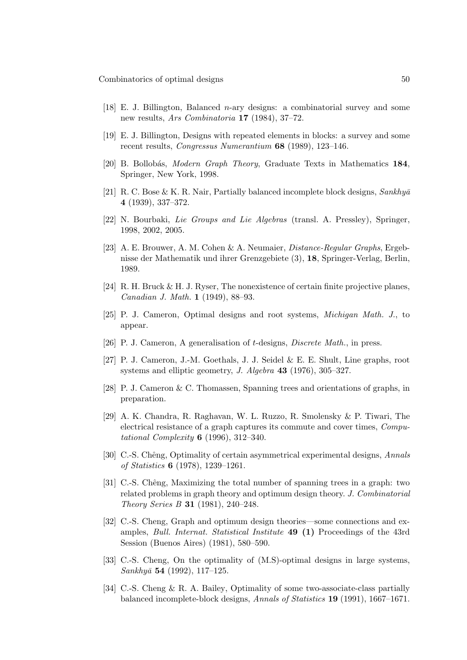- [18] E. J. Billington, Balanced n-ary designs: a combinatorial survey and some new results, Ars Combinatoria 17 (1984), 37–72.
- [19] E. J. Billington, Designs with repeated elements in blocks: a survey and some recent results, Congressus Numerantium 68 (1989), 123–146.
- [20] B. Bollobás, *Modern Graph Theory*, Graduate Texts in Mathematics 184, Springer, New York, 1998.
- [21] R. C. Bose & K. R. Nair, Partially balanced incomplete block designs,  $Sankhy\bar{a}$ 4 (1939), 337–372.
- [22] N. Bourbaki, Lie Groups and Lie Algebras (transl. A. Pressley), Springer, 1998, 2002, 2005.
- [23] A. E. Brouwer, A. M. Cohen & A. Neumaier, Distance-Regular Graphs, Ergebnisse der Mathematik und ihrer Grenzgebiete (3), 18, Springer-Verlag, Berlin, 1989.
- [24] R. H. Bruck & H. J. Ryser, The nonexistence of certain finite projective planes, Canadian J. Math. 1 (1949), 88–93.
- [25] P. J. Cameron, Optimal designs and root systems, *Michigan Math. J.*, to appear.
- [26] P. J. Cameron, A generalisation of t-designs, Discrete Math., in press.
- [27] P. J. Cameron, J.-M. Goethals, J. J. Seidel & E. E. Shult, Line graphs, root systems and elliptic geometry, J. Algebra 43 (1976), 305–327.
- [28] P. J. Cameron & C. Thomassen, Spanning trees and orientations of graphs, in preparation.
- [29] A. K. Chandra, R. Raghavan, W. L. Ruzzo, R. Smolensky & P. Tiwari, The electrical resistance of a graph captures its commute and cover times, Computational Complexity **6** (1996), 312–340.
- [30] C.-S. Chêng, Optimality of certain asymmetrical experimental designs, Annals of Statistics 6 (1978), 1239–1261.
- [31] C.-S. Chêng, Maximizing the total number of spanning trees in a graph: two related problems in graph theory and optimum design theory. J. Combinatorial Theory Series B 31 (1981), 240–248.
- [32] C.-S. Cheng, Graph and optimum design theories—some connections and examples, Bull. Internat. Statistical Institute 49 (1) Proceedings of the 43rd Session (Buenos Aires) (1981), 580–590.
- [33] C.-S. Cheng, On the optimality of (M.S)-optimal designs in large systems,  $Sankhu\bar{a}$  54 (1992), 117-125.
- [34] C.-S. Cheng & R. A. Bailey, Optimality of some two-associate-class partially balanced incomplete-block designs, Annals of Statistics 19 (1991), 1667–1671.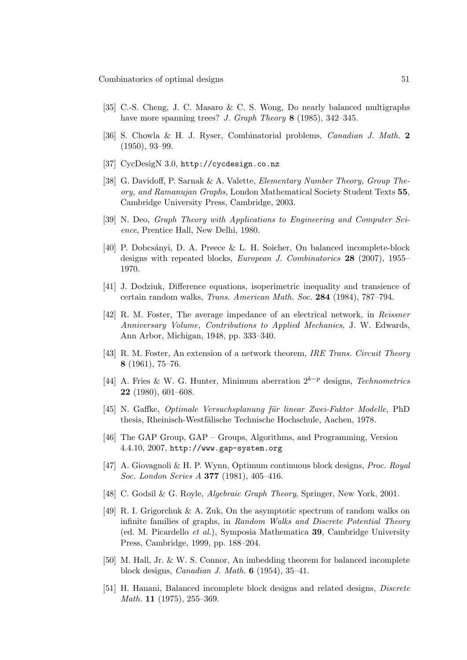- [35] C.-S. Cheng, J. C. Masaro & C. S. Wong, Do nearly balanced multigraphs have more spanning trees? *J. Graph Theory* **8** (1985), 342–345.
- [36] S. Chowla & H. J. Ryser, Combinatorial problems, Canadian J. Math. 2 (1950), 93–99.
- [37] CycDesigN 3.0, http://cycdesign.co.nz
- [38] G. Davidoff, P. Sarnak & A. Valette, Elementary Number Theory, Group Theory, and Ramanujan Graphs, London Mathematical Society Student Texts 55, Cambridge University Press, Cambridge, 2003.
- [39] N. Deo, Graph Theory with Applications to Engineering and Computer Science, Prentice Hall, New Delhi, 1980.
- [40] P. Dobcs´anyi, D. A. Preece & L. H. Soicher, On balanced incomplete-block designs with repeated blocks, European J. Combinatorics 28 (2007), 1955– 1970.
- [41] J. Dodziuk, Difference equations, isoperimetric inequality and transience of certain random walks, Trans. American Math. Soc. 284 (1984), 787–794.
- [42] R. M. Foster, The average impedance of an electrical network, in Reissner Anniversary Volume, Contributions to Applied Mechanics, J. W. Edwards, Ann Arbor, Michigan, 1948, pp. 333–340.
- [43] R. M. Foster, An extension of a network theorem, IRE Trans. Circuit Theory 8 (1961), 75–76.
- [44] A. Fries & W. G. Hunter, Minimum aberration  $2^{k-p}$  designs, Technometrics 22 (1980), 601–608.
- [45] N. Gaffke, *Optimale Versuchsplanung für linear Zwei-Faktor Modelle*, PhD thesis, Rheinisch-Westfälische Technische Hochschule, Aachen, 1978.
- [46] The GAP Group, GAP Groups, Algorithms, and Programming, Version 4.4.10, 2007, http://www.gap-system.org
- [47] A. Giovagnoli & H. P. Wynn, Optimum continuous block designs, Proc. Royal Soc. London Series A 377 (1981), 405–416.
- [48] C. Godsil & G. Royle, Algebraic Graph Theory, Springer, New York, 2001.
- [49] R. I. Grigorchuk & A. Zuk, On the asymptotic spectrum of random walks on infinite families of graphs, in Random Walks and Discrete Potential Theory (ed. M. Picardello et al.), Symposia Mathematica 39, Cambridge University Press, Cambridge, 1999, pp. 188–204.
- [50] M. Hall, Jr. & W. S. Connor, An imbedding theorem for balanced incomplete block designs, Canadian J. Math. 6 (1954), 35–41.
- [51] H. Hanani, Balanced incomplete block designs and related designs, Discrete Math. **11** (1975), 255-369.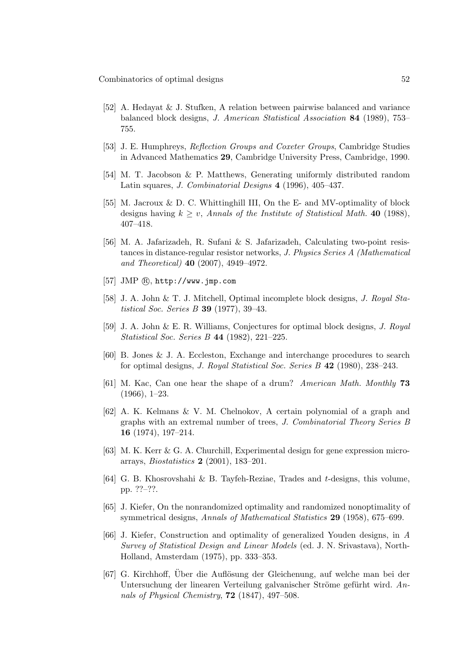- [52] A. Hedayat & J. Stufken, A relation between pairwise balanced and variance balanced block designs, J. American Statistical Association 84 (1989), 753– 755.
- [53] J. E. Humphreys, Reflection Groups and Coxeter Groups, Cambridge Studies in Advanced Mathematics 29, Cambridge University Press, Cambridge, 1990.
- [54] M. T. Jacobson & P. Matthews, Generating uniformly distributed random Latin squares, J. Combinatorial Designs 4 (1996), 405–437.
- [55] M. Jacroux & D. C. Whittinghill III, On the E- and MV-optimality of block designs having  $k \geq v$ , Annals of the Institute of Statistical Math. 40 (1988), 407–418.
- [56] M. A. Jafarizadeh, R. Sufani & S. Jafarizadeh, Calculating two-point resistances in distance-regular resistor networks, J. Physics Series A (Mathematical and Theoretical) 40 (2007), 4949–4972.
- [57] JMP  $(R)$ , http://www.jmp.com
- [58] J. A. John & T. J. Mitchell, Optimal incomplete block designs, J. Royal Statistical Soc. Series B 39 (1977), 39–43.
- [59] J. A. John & E. R. Williams, Conjectures for optimal block designs, J. Royal Statistical Soc. Series B 44 (1982), 221–225.
- [60] B. Jones & J. A. Eccleston, Exchange and interchange procedures to search for optimal designs, J. Royal Statistical Soc. Series B 42 (1980), 238–243.
- [61] M. Kac, Can one hear the shape of a drum? American Math. Monthly 73 (1966), 1–23.
- [62] A. K. Kelmans & V. M. Chelnokov, A certain polynomial of a graph and graphs with an extremal number of trees, J. Combinatorial Theory Series B 16 (1974), 197–214.
- [63] M. K. Kerr & G. A. Churchill, Experimental design for gene expression microarrays, Biostatistics 2 (2001), 183–201.
- [64] G. B. Khosrovshahi & B. Tayfeh-Reziae, Trades and t-designs, this volume, pp. ??–??.
- [65] J. Kiefer, On the nonrandomized optimality and randomized nonoptimality of symmetrical designs, Annals of Mathematical Statistics 29 (1958), 675–699.
- [66] J. Kiefer, Construction and optimality of generalized Youden designs, in A Survey of Statistical Design and Linear Models (ed. J. N. Srivastava), North-Holland, Amsterdam (1975), pp. 333–353.
- [67] G. Kirchhoff, Über die Auflösung der Gleichenung, auf welche man bei der Untersuchung der linearen Verteilung galvanischer Ströme gefürht wird.  $An$ nals of Physical Chemistry, 72 (1847), 497–508.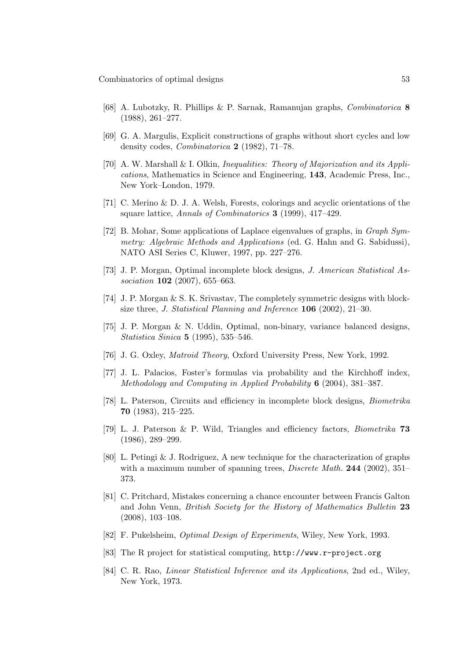- [68] A. Lubotzky, R. Phillips & P. Sarnak, Ramanujan graphs, Combinatorica 8 (1988), 261–277.
- [69] G. A. Margulis, Explicit constructions of graphs without short cycles and low density codes, Combinatorica 2 (1982), 71–78.
- [70] A. W. Marshall & I. Olkin, Inequalities: Theory of Majorization and its Applications, Mathematics in Science and Engineering, 143, Academic Press, Inc., New York–London, 1979.
- [71] C. Merino & D. J. A. Welsh, Forests, colorings and acyclic orientations of the square lattice, Annals of Combinatorics 3 (1999), 417–429.
- [72] B. Mohar, Some applications of Laplace eigenvalues of graphs, in Graph Symmetry: Algebraic Methods and Applications (ed. G. Hahn and G. Sabidussi), NATO ASI Series C, Kluwer, 1997, pp. 227–276.
- [73] J. P. Morgan, Optimal incomplete block designs, J. American Statistical Association **102** (2007), 655–663.
- [74] J. P. Morgan & S. K. Srivastav, The completely symmetric designs with blocksize three, J. Statistical Planning and Inference 106 (2002), 21–30.
- [75] J. P. Morgan & N. Uddin, Optimal, non-binary, variance balanced designs, Statistica Sinica 5 (1995), 535–546.
- [76] J. G. Oxley, Matroid Theory, Oxford University Press, New York, 1992.
- [77] J. L. Palacios, Foster's formulas via probability and the Kirchhoff index, Methodology and Computing in Applied Probability 6 (2004), 381–387.
- [78] L. Paterson, Circuits and efficiency in incomplete block designs, Biometrika 70 (1983), 215–225.
- [79] L. J. Paterson & P. Wild, Triangles and efficiency factors, Biometrika 73 (1986), 289–299.
- [80] L. Petingi & J. Rodriguez, A new technique for the characterization of graphs with a maximum number of spanning trees, *Discrete Math.* **244** (2002),  $351-$ 373.
- [81] C. Pritchard, Mistakes concerning a chance encounter between Francis Galton and John Venn, British Society for the History of Mathematics Bulletin 23 (2008), 103–108.
- [82] F. Pukelsheim, Optimal Design of Experiments, Wiley, New York, 1993.
- [83] The R project for statistical computing, http://www.r-project.org
- [84] C. R. Rao, *Linear Statistical Inference and its Applications*, 2nd ed., Wiley, New York, 1973.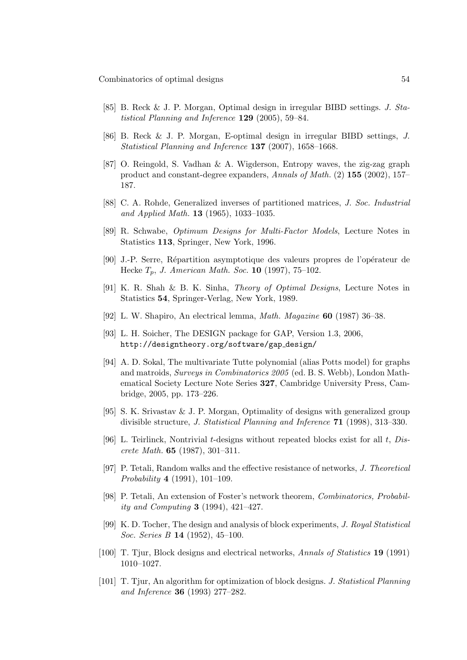- [85] B. Reck & J. P. Morgan, Optimal design in irregular BIBD settings. J. Statistical Planning and Inference 129 (2005), 59–84.
- [86] B. Reck & J. P. Morgan, E-optimal design in irregular BIBD settings, J. Statistical Planning and Inference 137 (2007), 1658–1668.
- [87] O. Reingold, S. Vadhan & A. Wigderson, Entropy waves, the zig-zag graph product and constant-degree expanders, Annals of Math. (2) 155 (2002), 157– 187.
- [88] C. A. Rohde, Generalized inverses of partitioned matrices, J. Soc. Industrial and Applied Math. 13 (1965), 1033–1035.
- [89] R. Schwabe, Optimum Designs for Multi-Factor Models, Lecture Notes in Statistics 113, Springer, New York, 1996.
- [90] J.-P. Serre, R´epartition asymptotique des valeurs propres de l'op´erateur de Hecke  $T_p$ , J. American Math. Soc. 10 (1997), 75–102.
- [91] K. R. Shah & B. K. Sinha, Theory of Optimal Designs, Lecture Notes in Statistics 54, Springer-Verlag, New York, 1989.
- [92] L. W. Shapiro, An electrical lemma, Math. Magazine 60 (1987) 36–38.
- [93] L. H. Soicher, The DESIGN package for GAP, Version 1.3, 2006, http://designtheory.org/software/gap design/
- [94] A. D. Sokal, The multivariate Tutte polynomial (alias Potts model) for graphs and matroids, Surveys in Combinatorics 2005 (ed. B. S. Webb), London Mathematical Society Lecture Note Series 327, Cambridge University Press, Cambridge, 2005, pp. 173–226.
- [95] S. K. Srivastav & J. P. Morgan, Optimality of designs with generalized group divisible structure, J. Statistical Planning and Inference 71 (1998), 313–330.
- [96] L. Teirlinck, Nontrivial t-designs without repeated blocks exist for all t, Discrete Math. 65 (1987), 301–311.
- [97] P. Tetali, Random walks and the effective resistance of networks, J. Theoretical Probability 4 (1991), 101–109.
- [98] P. Tetali, An extension of Foster's network theorem, Combinatorics, Probability and Computing 3 (1994), 421–427.
- [99] K. D. Tocher, The design and analysis of block experiments, J. Royal Statistical Soc. Series B 14 (1952), 45–100.
- [100] T. Tjur, Block designs and electrical networks, Annals of Statistics 19 (1991) 1010–1027.
- [101] T. Tjur, An algorithm for optimization of block designs. J. Statistical Planning and Inference 36 (1993) 277–282.